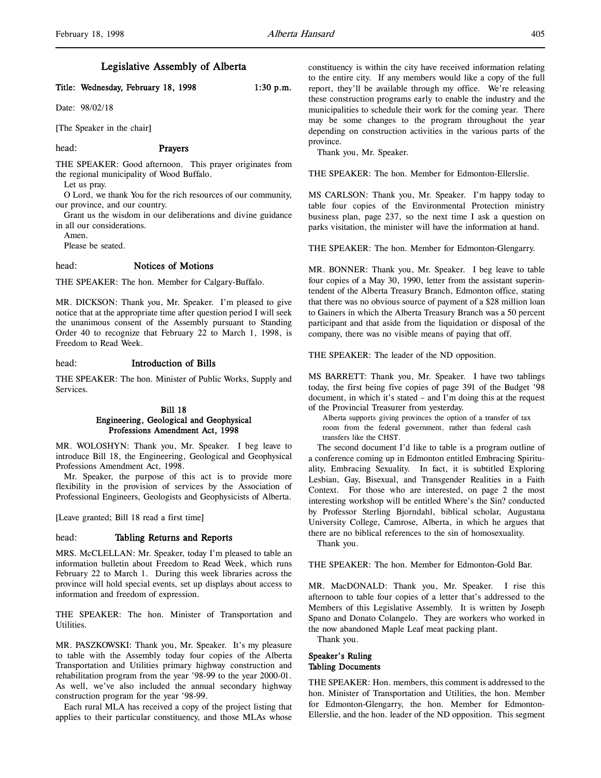# Legislative Assembly of Alberta

# Title: Wednesday, February 18, 1998 1:30 p.m.

Date: 98/02/18

[The Speaker in the chair]

## head: Prayers

THE SPEAKER: Good afternoon. This prayer originates from the regional municipality of Wood Buffalo.

Let us pray.

O Lord, we thank You for the rich resources of our community, our province, and our country.

Grant us the wisdom in our deliberations and divine guidance in all our considerations.

Amen.

Please be seated.

#### head: Notices of Motions

THE SPEAKER: The hon. Member for Calgary-Buffalo.

MR. DICKSON: Thank you, Mr. Speaker. I'm pleased to give notice that at the appropriate time after question period I will seek the unanimous consent of the Assembly pursuant to Standing Order 40 to recognize that February 22 to March 1, 1998, is Freedom to Read Week.

#### head: Introduction of Bills

THE SPEAKER: The hon. Minister of Public Works, Supply and Services.

# Bill 18 Engineering, Geological and Geophysical Professions Amendment Act, 1998

MR. WOLOSHYN: Thank you, Mr. Speaker. I beg leave to introduce Bill 18, the Engineering, Geological and Geophysical Professions Amendment Act, 1998.

Mr. Speaker, the purpose of this act is to provide more flexibility in the provision of services by the Association of Professional Engineers, Geologists and Geophysicists of Alberta.

[Leave granted; Bill 18 read a first time]

#### head: Tabling Returns and Reports

MRS. McCLELLAN: Mr. Speaker, today I'm pleased to table an information bulletin about Freedom to Read Week, which runs February 22 to March 1. During this week libraries across the province will hold special events, set up displays about access to information and freedom of expression.

THE SPEAKER: The hon. Minister of Transportation and Utilities.

MR. PASZKOWSKI: Thank you, Mr. Speaker. It's my pleasure to table with the Assembly today four copies of the Alberta Transportation and Utilities primary highway construction and rehabilitation program from the year '98-99 to the year 2000-01. As well, we've also included the annual secondary highway construction program for the year '98-99.

Each rural MLA has received a copy of the project listing that applies to their particular constituency, and those MLAs whose

constituency is within the city have received information relating to the entire city. If any members would like a copy of the full report, they'll be available through my office. We're releasing these construction programs early to enable the industry and the municipalities to schedule their work for the coming year. There may be some changes to the program throughout the year depending on construction activities in the various parts of the province.

Thank you, Mr. Speaker.

THE SPEAKER: The hon. Member for Edmonton-Ellerslie.

MS CARLSON: Thank you, Mr. Speaker. I'm happy today to table four copies of the Environmental Protection ministry business plan, page 237, so the next time I ask a question on parks visitation, the minister will have the information at hand.

THE SPEAKER: The hon. Member for Edmonton-Glengarry.

MR. BONNER: Thank you, Mr. Speaker. I beg leave to table four copies of a May 30, 1990, letter from the assistant superintendent of the Alberta Treasury Branch, Edmonton office, stating that there was no obvious source of payment of a \$28 million loan to Gainers in which the Alberta Treasury Branch was a 50 percent participant and that aside from the liquidation or disposal of the company, there was no visible means of paying that off.

THE SPEAKER: The leader of the ND opposition.

MS BARRETT: Thank you, Mr. Speaker. I have two tablings today, the first being five copies of page 391 of the Budget '98 document, in which it's stated – and I'm doing this at the request of the Provincial Treasurer from yesterday.

Alberta supports giving provinces the option of a transfer of tax room from the federal government, rather than federal cash transfers like the CHST.

The second document I'd like to table is a program outline of a conference coming up in Edmonton entitled Embracing Spirituality, Embracing Sexuality. In fact, it is subtitled Exploring Lesbian, Gay, Bisexual, and Transgender Realities in a Faith Context. For those who are interested, on page 2 the most interesting workshop will be entitled Where's the Sin? conducted by Professor Sterling Bjorndahl, biblical scholar, Augustana University College, Camrose, Alberta, in which he argues that there are no biblical references to the sin of homosexuality.

Thank you.

THE SPEAKER: The hon. Member for Edmonton-Gold Bar.

MR. MacDONALD: Thank you, Mr. Speaker. I rise this afternoon to table four copies of a letter that's addressed to the Members of this Legislative Assembly. It is written by Joseph Spano and Donato Colangelo. They are workers who worked in the now abandoned Maple Leaf meat packing plant.

Thank you.

# Speaker's Ruling Tabling Documents

THE SPEAKER: Hon. members, this comment is addressed to the hon. Minister of Transportation and Utilities, the hon. Member for Edmonton-Glengarry, the hon. Member for Edmonton-Ellerslie, and the hon. leader of the ND opposition. This segment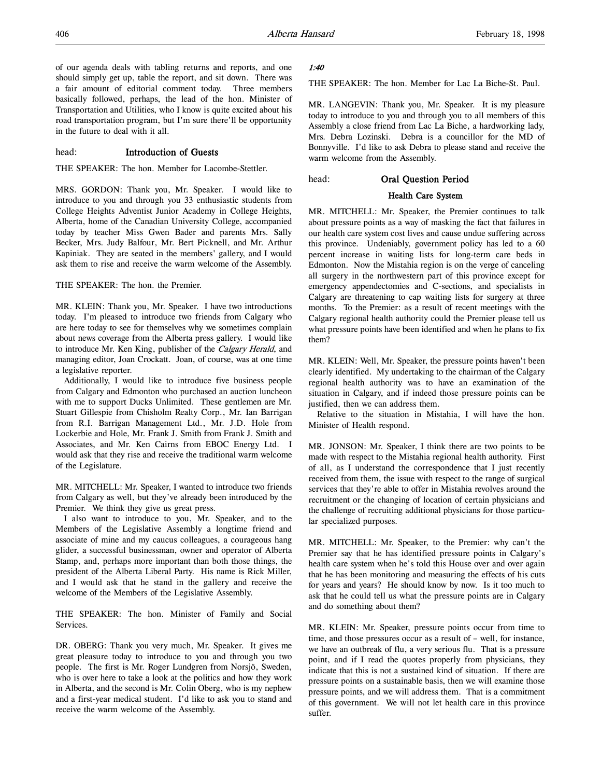of our agenda deals with tabling returns and reports, and one should simply get up, table the report, and sit down. There was a fair amount of editorial comment today. Three members basically followed, perhaps, the lead of the hon. Minister of Transportation and Utilities, who I know is quite excited about his road transportation program, but I'm sure there'll be opportunity in the future to deal with it all.

# head: Introduction of Guests

THE SPEAKER: The hon. Member for Lacombe-Stettler.

MRS. GORDON: Thank you, Mr. Speaker. I would like to introduce to you and through you 33 enthusiastic students from College Heights Adventist Junior Academy in College Heights, Alberta, home of the Canadian University College, accompanied today by teacher Miss Gwen Bader and parents Mrs. Sally Becker, Mrs. Judy Balfour, Mr. Bert Picknell, and Mr. Arthur Kapiniak. They are seated in the members' gallery, and I would ask them to rise and receive the warm welcome of the Assembly.

THE SPEAKER: The hon. the Premier.

MR. KLEIN: Thank you, Mr. Speaker. I have two introductions today. I'm pleased to introduce two friends from Calgary who are here today to see for themselves why we sometimes complain about news coverage from the Alberta press gallery. I would like to introduce Mr. Ken King, publisher of the Calgary Herald, and managing editor, Joan Crockatt. Joan, of course, was at one time a legislative reporter.

Additionally, I would like to introduce five business people from Calgary and Edmonton who purchased an auction luncheon with me to support Ducks Unlimited. These gentlemen are Mr. Stuart Gillespie from Chisholm Realty Corp., Mr. Ian Barrigan from R.I. Barrigan Management Ltd., Mr. J.D. Hole from Lockerbie and Hole, Mr. Frank J. Smith from Frank J. Smith and Associates, and Mr. Ken Cairns from EBOC Energy Ltd. I would ask that they rise and receive the traditional warm welcome of the Legislature.

MR. MITCHELL: Mr. Speaker, I wanted to introduce two friends from Calgary as well, but they've already been introduced by the Premier. We think they give us great press.

I also want to introduce to you, Mr. Speaker, and to the Members of the Legislative Assembly a longtime friend and associate of mine and my caucus colleagues, a courageous hang glider, a successful businessman, owner and operator of Alberta Stamp, and, perhaps more important than both those things, the president of the Alberta Liberal Party. His name is Rick Miller, and I would ask that he stand in the gallery and receive the welcome of the Members of the Legislative Assembly.

THE SPEAKER: The hon. Minister of Family and Social Services.

DR. OBERG: Thank you very much, Mr. Speaker. It gives me great pleasure today to introduce to you and through you two people. The first is Mr. Roger Lundgren from Norsjö, Sweden, who is over here to take a look at the politics and how they work in Alberta, and the second is Mr. Colin Oberg, who is my nephew and a first-year medical student. I'd like to ask you to stand and receive the warm welcome of the Assembly.

## 1:40

THE SPEAKER: The hon. Member for Lac La Biche-St. Paul.

MR. LANGEVIN: Thank you, Mr. Speaker. It is my pleasure today to introduce to you and through you to all members of this Assembly a close friend from Lac La Biche, a hardworking lady, Mrs. Debra Lozinski. Debra is a councillor for the MD of Bonnyville. I'd like to ask Debra to please stand and receive the warm welcome from the Assembly.

# head: Oral Question Period

## Health Care System

MR. MITCHELL: Mr. Speaker, the Premier continues to talk about pressure points as a way of masking the fact that failures in our health care system cost lives and cause undue suffering across this province. Undeniably, government policy has led to a 60 percent increase in waiting lists for long-term care beds in Edmonton. Now the Mistahia region is on the verge of canceling all surgery in the northwestern part of this province except for emergency appendectomies and C-sections, and specialists in Calgary are threatening to cap waiting lists for surgery at three months. To the Premier: as a result of recent meetings with the Calgary regional health authority could the Premier please tell us what pressure points have been identified and when he plans to fix them?

MR. KLEIN: Well, Mr. Speaker, the pressure points haven't been clearly identified. My undertaking to the chairman of the Calgary regional health authority was to have an examination of the situation in Calgary, and if indeed those pressure points can be justified, then we can address them.

Relative to the situation in Mistahia, I will have the hon. Minister of Health respond.

MR. JONSON: Mr. Speaker, I think there are two points to be made with respect to the Mistahia regional health authority. First of all, as I understand the correspondence that I just recently received from them, the issue with respect to the range of surgical services that they're able to offer in Mistahia revolves around the recruitment or the changing of location of certain physicians and the challenge of recruiting additional physicians for those particular specialized purposes.

MR. MITCHELL: Mr. Speaker, to the Premier: why can't the Premier say that he has identified pressure points in Calgary's health care system when he's told this House over and over again that he has been monitoring and measuring the effects of his cuts for years and years? He should know by now. Is it too much to ask that he could tell us what the pressure points are in Calgary and do something about them?

MR. KLEIN: Mr. Speaker, pressure points occur from time to time, and those pressures occur as a result of – well, for instance, we have an outbreak of flu, a very serious flu. That is a pressure point, and if I read the quotes properly from physicians, they indicate that this is not a sustained kind of situation. If there are pressure points on a sustainable basis, then we will examine those pressure points, and we will address them. That is a commitment of this government. We will not let health care in this province suffer.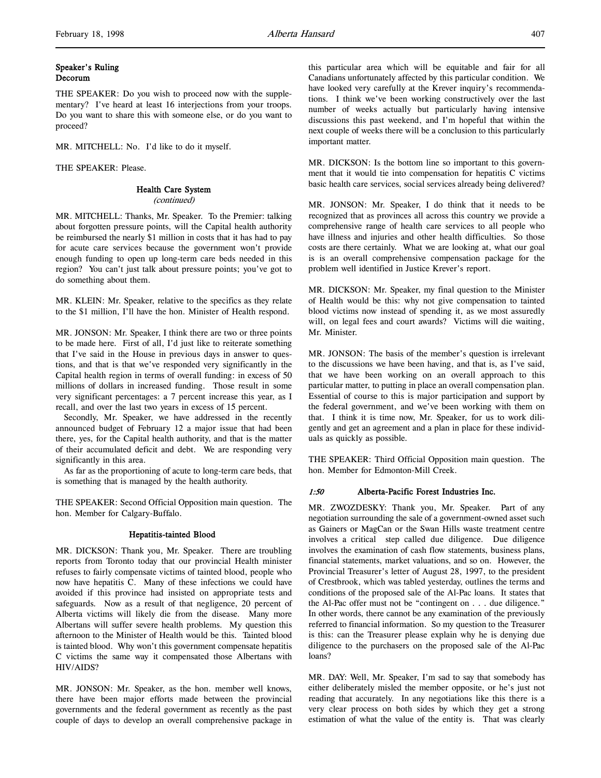# Speaker's Ruling Decorum

THE SPEAKER: Do you wish to proceed now with the supplementary? I've heard at least 16 interjections from your troops. Do you want to share this with someone else, or do you want to proceed?

MR. MITCHELL: No. I'd like to do it myself.

THE SPEAKER: Please.

# Health Care System

(continued)

MR. MITCHELL: Thanks, Mr. Speaker. To the Premier: talking about forgotten pressure points, will the Capital health authority be reimbursed the nearly \$1 million in costs that it has had to pay for acute care services because the government won't provide enough funding to open up long-term care beds needed in this region? You can't just talk about pressure points; you've got to do something about them.

MR. KLEIN: Mr. Speaker, relative to the specifics as they relate to the \$1 million, I'll have the hon. Minister of Health respond.

MR. JONSON: Mr. Speaker, I think there are two or three points to be made here. First of all, I'd just like to reiterate something that I've said in the House in previous days in answer to questions, and that is that we've responded very significantly in the Capital health region in terms of overall funding: in excess of 50 millions of dollars in increased funding. Those result in some very significant percentages: a 7 percent increase this year, as I recall, and over the last two years in excess of 15 percent.

Secondly, Mr. Speaker, we have addressed in the recently announced budget of February 12 a major issue that had been there, yes, for the Capital health authority, and that is the matter of their accumulated deficit and debt. We are responding very significantly in this area.

As far as the proportioning of acute to long-term care beds, that is something that is managed by the health authority.

THE SPEAKER: Second Official Opposition main question. The hon. Member for Calgary-Buffalo.

# Hepatitis-tainted Blood

MR. DICKSON: Thank you, Mr. Speaker. There are troubling reports from Toronto today that our provincial Health minister refuses to fairly compensate victims of tainted blood, people who now have hepatitis C. Many of these infections we could have avoided if this province had insisted on appropriate tests and safeguards. Now as a result of that negligence, 20 percent of Alberta victims will likely die from the disease. Many more Albertans will suffer severe health problems. My question this afternoon to the Minister of Health would be this. Tainted blood is tainted blood. Why won't this government compensate hepatitis C victims the same way it compensated those Albertans with HIV/AIDS?

MR. JONSON: Mr. Speaker, as the hon. member well knows, there have been major efforts made between the provincial governments and the federal government as recently as the past couple of days to develop an overall comprehensive package in

this particular area which will be equitable and fair for all Canadians unfortunately affected by this particular condition. We have looked very carefully at the Krever inquiry's recommendations. I think we've been working constructively over the last number of weeks actually but particularly having intensive discussions this past weekend, and I'm hopeful that within the next couple of weeks there will be a conclusion to this particularly important matter.

MR. DICKSON: Is the bottom line so important to this government that it would tie into compensation for hepatitis C victims basic health care services, social services already being delivered?

MR. JONSON: Mr. Speaker, I do think that it needs to be recognized that as provinces all across this country we provide a comprehensive range of health care services to all people who have illness and injuries and other health difficulties. So those costs are there certainly. What we are looking at, what our goal is is an overall comprehensive compensation package for the problem well identified in Justice Krever's report.

MR. DICKSON: Mr. Speaker, my final question to the Minister of Health would be this: why not give compensation to tainted blood victims now instead of spending it, as we most assuredly will, on legal fees and court awards? Victims will die waiting, Mr. Minister.

MR. JONSON: The basis of the member's question is irrelevant to the discussions we have been having, and that is, as I've said, that we have been working on an overall approach to this particular matter, to putting in place an overall compensation plan. Essential of course to this is major participation and support by the federal government, and we've been working with them on that. I think it is time now, Mr. Speaker, for us to work diligently and get an agreement and a plan in place for these individuals as quickly as possible.

THE SPEAKER: Third Official Opposition main question. The hon. Member for Edmonton-Mill Creek.

# 1:50 Alberta-Pacific Forest Industries Inc.

MR. ZWOZDESKY: Thank you, Mr. Speaker. Part of any negotiation surrounding the sale of a government-owned asset such as Gainers or MagCan or the Swan Hills waste treatment centre involves a critical step called due diligence. Due diligence involves the examination of cash flow statements, business plans, financial statements, market valuations, and so on. However, the Provincial Treasurer's letter of August 28, 1997, to the president of Crestbrook, which was tabled yesterday, outlines the terms and conditions of the proposed sale of the Al-Pac loans. It states that the Al-Pac offer must not be "contingent on . . . due diligence." In other words, there cannot be any examination of the previously referred to financial information. So my question to the Treasurer is this: can the Treasurer please explain why he is denying due diligence to the purchasers on the proposed sale of the Al-Pac loans?

MR. DAY: Well, Mr. Speaker, I'm sad to say that somebody has either deliberately misled the member opposite, or he's just not reading that accurately. In any negotiations like this there is a very clear process on both sides by which they get a strong estimation of what the value of the entity is. That was clearly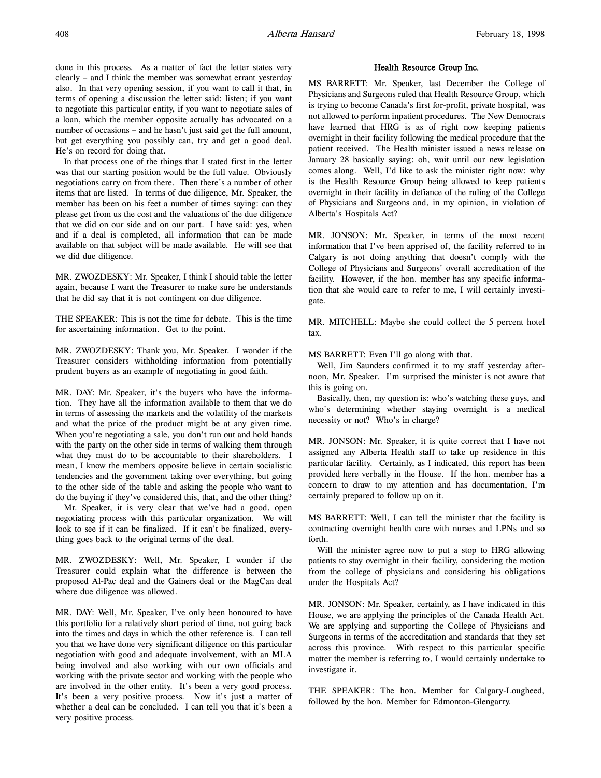done in this process. As a matter of fact the letter states very clearly – and I think the member was somewhat errant yesterday also. In that very opening session, if you want to call it that, in terms of opening a discussion the letter said: listen; if you want to negotiate this particular entity, if you want to negotiate sales of a loan, which the member opposite actually has advocated on a number of occasions – and he hasn't just said get the full amount, but get everything you possibly can, try and get a good deal. He's on record for doing that.

In that process one of the things that I stated first in the letter was that our starting position would be the full value. Obviously negotiations carry on from there. Then there's a number of other items that are listed. In terms of due diligence, Mr. Speaker, the member has been on his feet a number of times saying: can they please get from us the cost and the valuations of the due diligence that we did on our side and on our part. I have said: yes, when and if a deal is completed, all information that can be made available on that subject will be made available. He will see that we did due diligence.

MR. ZWOZDESKY: Mr. Speaker, I think I should table the letter again, because I want the Treasurer to make sure he understands that he did say that it is not contingent on due diligence.

THE SPEAKER: This is not the time for debate. This is the time for ascertaining information. Get to the point.

MR. ZWOZDESKY: Thank you, Mr. Speaker. I wonder if the Treasurer considers withholding information from potentially prudent buyers as an example of negotiating in good faith.

MR. DAY: Mr. Speaker, it's the buyers who have the information. They have all the information available to them that we do in terms of assessing the markets and the volatility of the markets and what the price of the product might be at any given time. When you're negotiating a sale, you don't run out and hold hands with the party on the other side in terms of walking them through what they must do to be accountable to their shareholders. I mean, I know the members opposite believe in certain socialistic tendencies and the government taking over everything, but going to the other side of the table and asking the people who want to do the buying if they've considered this, that, and the other thing?

Mr. Speaker, it is very clear that we've had a good, open negotiating process with this particular organization. We will look to see if it can be finalized. If it can't be finalized, everything goes back to the original terms of the deal.

MR. ZWOZDESKY: Well, Mr. Speaker, I wonder if the Treasurer could explain what the difference is between the proposed Al-Pac deal and the Gainers deal or the MagCan deal where due diligence was allowed.

MR. DAY: Well, Mr. Speaker, I've only been honoured to have this portfolio for a relatively short period of time, not going back into the times and days in which the other reference is. I can tell you that we have done very significant diligence on this particular negotiation with good and adequate involvement, with an MLA being involved and also working with our own officials and working with the private sector and working with the people who are involved in the other entity. It's been a very good process. It's been a very positive process. Now it's just a matter of whether a deal can be concluded. I can tell you that it's been a very positive process.

#### Health Resource Group Inc.

MS BARRETT: Mr. Speaker, last December the College of Physicians and Surgeons ruled that Health Resource Group, which is trying to become Canada's first for-profit, private hospital, was not allowed to perform inpatient procedures. The New Democrats have learned that HRG is as of right now keeping patients overnight in their facility following the medical procedure that the patient received. The Health minister issued a news release on January 28 basically saying: oh, wait until our new legislation comes along. Well, I'd like to ask the minister right now: why is the Health Resource Group being allowed to keep patients overnight in their facility in defiance of the ruling of the College of Physicians and Surgeons and, in my opinion, in violation of Alberta's Hospitals Act?

MR. JONSON: Mr. Speaker, in terms of the most recent information that I've been apprised of, the facility referred to in Calgary is not doing anything that doesn't comply with the College of Physicians and Surgeons' overall accreditation of the facility. However, if the hon. member has any specific information that she would care to refer to me, I will certainly investigate.

MR. MITCHELL: Maybe she could collect the 5 percent hotel tax.

MS BARRETT: Even I'll go along with that.

Well, Jim Saunders confirmed it to my staff yesterday afternoon, Mr. Speaker. I'm surprised the minister is not aware that this is going on.

Basically, then, my question is: who's watching these guys, and who's determining whether staying overnight is a medical necessity or not? Who's in charge?

MR. JONSON: Mr. Speaker, it is quite correct that I have not assigned any Alberta Health staff to take up residence in this particular facility. Certainly, as I indicated, this report has been provided here verbally in the House. If the hon. member has a concern to draw to my attention and has documentation, I'm certainly prepared to follow up on it.

MS BARRETT: Well, I can tell the minister that the facility is contracting overnight health care with nurses and LPNs and so forth.

Will the minister agree now to put a stop to HRG allowing patients to stay overnight in their facility, considering the motion from the college of physicians and considering his obligations under the Hospitals Act?

MR. JONSON: Mr. Speaker, certainly, as I have indicated in this House, we are applying the principles of the Canada Health Act. We are applying and supporting the College of Physicians and Surgeons in terms of the accreditation and standards that they set across this province. With respect to this particular specific matter the member is referring to, I would certainly undertake to investigate it.

THE SPEAKER: The hon. Member for Calgary-Lougheed, followed by the hon. Member for Edmonton-Glengarry.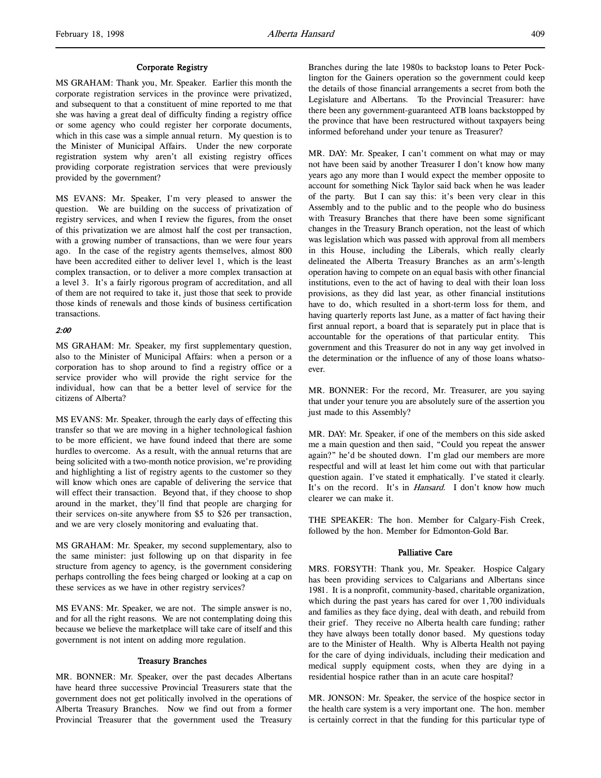#### Corporate Registry

MS GRAHAM: Thank you, Mr. Speaker. Earlier this month the corporate registration services in the province were privatized, and subsequent to that a constituent of mine reported to me that she was having a great deal of difficulty finding a registry office or some agency who could register her corporate documents, which in this case was a simple annual return. My question is to the Minister of Municipal Affairs. Under the new corporate registration system why aren't all existing registry offices providing corporate registration services that were previously provided by the government?

MS EVANS: Mr. Speaker, I'm very pleased to answer the question. We are building on the success of privatization of registry services, and when I review the figures, from the onset of this privatization we are almost half the cost per transaction, with a growing number of transactions, than we were four years ago. In the case of the registry agents themselves, almost 800 have been accredited either to deliver level 1, which is the least complex transaction, or to deliver a more complex transaction at a level 3. It's a fairly rigorous program of accreditation, and all of them are not required to take it, just those that seek to provide those kinds of renewals and those kinds of business certification transactions.

## 2:00

MS GRAHAM: Mr. Speaker, my first supplementary question, also to the Minister of Municipal Affairs: when a person or a corporation has to shop around to find a registry office or a service provider who will provide the right service for the individual, how can that be a better level of service for the citizens of Alberta?

MS EVANS: Mr. Speaker, through the early days of effecting this transfer so that we are moving in a higher technological fashion to be more efficient, we have found indeed that there are some hurdles to overcome. As a result, with the annual returns that are being solicited with a two-month notice provision, we're providing and highlighting a list of registry agents to the customer so they will know which ones are capable of delivering the service that will effect their transaction. Beyond that, if they choose to shop around in the market, they'll find that people are charging for their services on-site anywhere from \$5 to \$26 per transaction, and we are very closely monitoring and evaluating that.

MS GRAHAM: Mr. Speaker, my second supplementary, also to the same minister: just following up on that disparity in fee structure from agency to agency, is the government considering perhaps controlling the fees being charged or looking at a cap on these services as we have in other registry services?

MS EVANS: Mr. Speaker, we are not. The simple answer is no, and for all the right reasons. We are not contemplating doing this because we believe the marketplace will take care of itself and this government is not intent on adding more regulation.

#### Treasury Branches

MR. BONNER: Mr. Speaker, over the past decades Albertans have heard three successive Provincial Treasurers state that the government does not get politically involved in the operations of Alberta Treasury Branches. Now we find out from a former Provincial Treasurer that the government used the Treasury

Branches during the late 1980s to backstop loans to Peter Pocklington for the Gainers operation so the government could keep the details of those financial arrangements a secret from both the Legislature and Albertans. To the Provincial Treasurer: have there been any government-guaranteed ATB loans backstopped by the province that have been restructured without taxpayers being informed beforehand under your tenure as Treasurer?

MR. DAY: Mr. Speaker, I can't comment on what may or may not have been said by another Treasurer I don't know how many years ago any more than I would expect the member opposite to account for something Nick Taylor said back when he was leader of the party. But I can say this: it's been very clear in this Assembly and to the public and to the people who do business with Treasury Branches that there have been some significant changes in the Treasury Branch operation, not the least of which was legislation which was passed with approval from all members in this House, including the Liberals, which really clearly delineated the Alberta Treasury Branches as an arm's-length operation having to compete on an equal basis with other financial institutions, even to the act of having to deal with their loan loss provisions, as they did last year, as other financial institutions have to do, which resulted in a short-term loss for them, and having quarterly reports last June, as a matter of fact having their first annual report, a board that is separately put in place that is accountable for the operations of that particular entity. This government and this Treasurer do not in any way get involved in the determination or the influence of any of those loans whatsoever.

MR. BONNER: For the record, Mr. Treasurer, are you saying that under your tenure you are absolutely sure of the assertion you just made to this Assembly?

MR. DAY: Mr. Speaker, if one of the members on this side asked me a main question and then said, "Could you repeat the answer again?" he'd be shouted down. I'm glad our members are more respectful and will at least let him come out with that particular question again. I've stated it emphatically. I've stated it clearly. It's on the record. It's in *Hansard*. I don't know how much clearer we can make it.

THE SPEAKER: The hon. Member for Calgary-Fish Creek, followed by the hon. Member for Edmonton-Gold Bar.

# Palliative Care

MRS. FORSYTH: Thank you, Mr. Speaker. Hospice Calgary has been providing services to Calgarians and Albertans since 1981. It is a nonprofit, community-based, charitable organization, which during the past years has cared for over 1,700 individuals and families as they face dying, deal with death, and rebuild from their grief. They receive no Alberta health care funding; rather they have always been totally donor based. My questions today are to the Minister of Health. Why is Alberta Health not paying for the care of dying individuals, including their medication and medical supply equipment costs, when they are dying in a residential hospice rather than in an acute care hospital?

MR. JONSON: Mr. Speaker, the service of the hospice sector in the health care system is a very important one. The hon. member is certainly correct in that the funding for this particular type of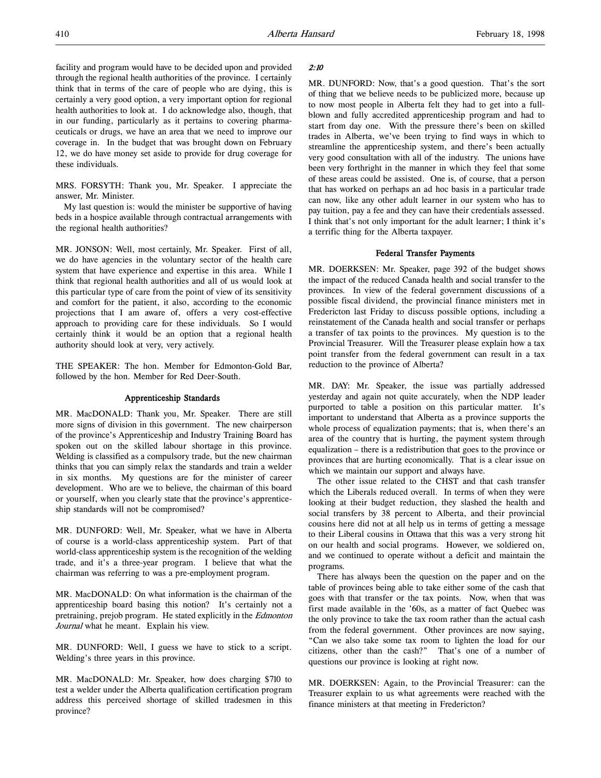facility and program would have to be decided upon and provided through the regional health authorities of the province. I certainly think that in terms of the care of people who are dying, this is certainly a very good option, a very important option for regional health authorities to look at. I do acknowledge also, though, that in our funding, particularly as it pertains to covering pharmaceuticals or drugs, we have an area that we need to improve our coverage in. In the budget that was brought down on February 12, we do have money set aside to provide for drug coverage for these individuals.

MRS. FORSYTH: Thank you, Mr. Speaker. I appreciate the answer, Mr. Minister.

My last question is: would the minister be supportive of having beds in a hospice available through contractual arrangements with the regional health authorities?

MR. JONSON: Well, most certainly, Mr. Speaker. First of all, we do have agencies in the voluntary sector of the health care system that have experience and expertise in this area. While I think that regional health authorities and all of us would look at this particular type of care from the point of view of its sensitivity and comfort for the patient, it also, according to the economic projections that I am aware of, offers a very cost-effective approach to providing care for these individuals. So I would certainly think it would be an option that a regional health authority should look at very, very actively.

THE SPEAKER: The hon. Member for Edmonton-Gold Bar, followed by the hon. Member for Red Deer-South.

#### Apprenticeship Standards

MR. MacDONALD: Thank you, Mr. Speaker. There are still more signs of division in this government. The new chairperson of the province's Apprenticeship and Industry Training Board has spoken out on the skilled labour shortage in this province. Welding is classified as a compulsory trade, but the new chairman thinks that you can simply relax the standards and train a welder in six months. My questions are for the minister of career development. Who are we to believe, the chairman of this board or yourself, when you clearly state that the province's apprenticeship standards will not be compromised?

MR. DUNFORD: Well, Mr. Speaker, what we have in Alberta of course is a world-class apprenticeship system. Part of that world-class apprenticeship system is the recognition of the welding trade, and it's a three-year program. I believe that what the chairman was referring to was a pre-employment program.

MR. MacDONALD: On what information is the chairman of the apprenticeship board basing this notion? It's certainly not a pretraining, prejob program. He stated explicitly in the Edmonton Journal what he meant. Explain his view.

MR. DUNFORD: Well, I guess we have to stick to a script. Welding's three years in this province.

MR. MacDONALD: Mr. Speaker, how does charging \$710 to test a welder under the Alberta qualification certification program address this perceived shortage of skilled tradesmen in this province?

#### 2:10

MR. DUNFORD: Now, that's a good question. That's the sort of thing that we believe needs to be publicized more, because up to now most people in Alberta felt they had to get into a fullblown and fully accredited apprenticeship program and had to start from day one. With the pressure there's been on skilled trades in Alberta, we've been trying to find ways in which to streamline the apprenticeship system, and there's been actually very good consultation with all of the industry. The unions have been very forthright in the manner in which they feel that some of these areas could be assisted. One is, of course, that a person that has worked on perhaps an ad hoc basis in a particular trade can now, like any other adult learner in our system who has to pay tuition, pay a fee and they can have their credentials assessed. I think that's not only important for the adult learner; I think it's a terrific thing for the Alberta taxpayer.

## Federal Transfer Payments

MR. DOERKSEN: Mr. Speaker, page 392 of the budget shows the impact of the reduced Canada health and social transfer to the provinces. In view of the federal government discussions of a possible fiscal dividend, the provincial finance ministers met in Fredericton last Friday to discuss possible options, including a reinstatement of the Canada health and social transfer or perhaps a transfer of tax points to the provinces. My question is to the Provincial Treasurer. Will the Treasurer please explain how a tax point transfer from the federal government can result in a tax reduction to the province of Alberta?

MR. DAY: Mr. Speaker, the issue was partially addressed yesterday and again not quite accurately, when the NDP leader purported to table a position on this particular matter. It's important to understand that Alberta as a province supports the whole process of equalization payments; that is, when there's an area of the country that is hurting, the payment system through equalization – there is a redistribution that goes to the province or provinces that are hurting economically. That is a clear issue on which we maintain our support and always have.

The other issue related to the CHST and that cash transfer which the Liberals reduced overall. In terms of when they were looking at their budget reduction, they slashed the health and social transfers by 38 percent to Alberta, and their provincial cousins here did not at all help us in terms of getting a message to their Liberal cousins in Ottawa that this was a very strong hit on our health and social programs. However, we soldiered on, and we continued to operate without a deficit and maintain the programs.

There has always been the question on the paper and on the table of provinces being able to take either some of the cash that goes with that transfer or the tax points. Now, when that was first made available in the '60s, as a matter of fact Quebec was the only province to take the tax room rather than the actual cash from the federal government. Other provinces are now saying, "Can we also take some tax room to lighten the load for our citizens, other than the cash?" That's one of a number of questions our province is looking at right now.

MR. DOERKSEN: Again, to the Provincial Treasurer: can the Treasurer explain to us what agreements were reached with the finance ministers at that meeting in Fredericton?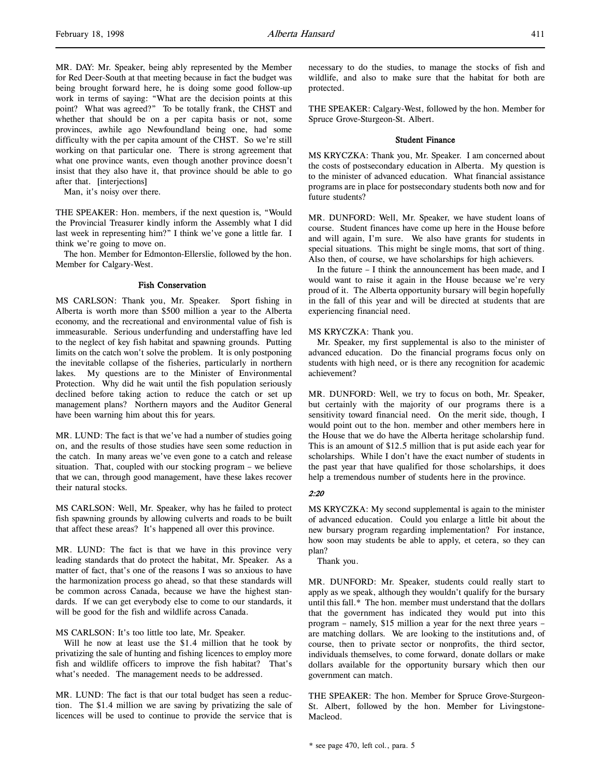MR. DAY: Mr. Speaker, being ably represented by the Member for Red Deer-South at that meeting because in fact the budget was being brought forward here, he is doing some good follow-up work in terms of saying: "What are the decision points at this point? What was agreed?" To be totally frank, the CHST and whether that should be on a per capita basis or not, some provinces, awhile ago Newfoundland being one, had some difficulty with the per capita amount of the CHST. So we're still working on that particular one. There is strong agreement that what one province wants, even though another province doesn't insist that they also have it, that province should be able to go after that. [interjections]

Man, it's noisy over there.

THE SPEAKER: Hon. members, if the next question is, "Would the Provincial Treasurer kindly inform the Assembly what I did last week in representing him?" I think we've gone a little far. I think we're going to move on.

The hon. Member for Edmonton-Ellerslie, followed by the hon. Member for Calgary-West.

#### Fish Conservation

MS CARLSON: Thank you, Mr. Speaker. Sport fishing in Alberta is worth more than \$500 million a year to the Alberta economy, and the recreational and environmental value of fish is immeasurable. Serious underfunding and understaffing have led to the neglect of key fish habitat and spawning grounds. Putting limits on the catch won't solve the problem. It is only postponing the inevitable collapse of the fisheries, particularly in northern lakes. My questions are to the Minister of Environmental Protection. Why did he wait until the fish population seriously declined before taking action to reduce the catch or set up management plans? Northern mayors and the Auditor General have been warning him about this for years.

MR. LUND: The fact is that we've had a number of studies going on, and the results of those studies have seen some reduction in the catch. In many areas we've even gone to a catch and release situation. That, coupled with our stocking program – we believe that we can, through good management, have these lakes recover their natural stocks.

MS CARLSON: Well, Mr. Speaker, why has he failed to protect fish spawning grounds by allowing culverts and roads to be built that affect these areas? It's happened all over this province.

MR. LUND: The fact is that we have in this province very leading standards that do protect the habitat, Mr. Speaker. As a matter of fact, that's one of the reasons I was so anxious to have the harmonization process go ahead, so that these standards will be common across Canada, because we have the highest standards. If we can get everybody else to come to our standards, it will be good for the fish and wildlife across Canada.

## MS CARLSON: It's too little too late, Mr. Speaker.

Will he now at least use the \$1.4 million that he took by privatizing the sale of hunting and fishing licences to employ more fish and wildlife officers to improve the fish habitat? That's what's needed. The management needs to be addressed.

MR. LUND: The fact is that our total budget has seen a reduction. The \$1.4 million we are saving by privatizing the sale of licences will be used to continue to provide the service that is

necessary to do the studies, to manage the stocks of fish and wildlife, and also to make sure that the habitat for both are protected.

THE SPEAKER: Calgary-West, followed by the hon. Member for Spruce Grove-Sturgeon-St. Albert.

#### Student Finance

MS KRYCZKA: Thank you, Mr. Speaker. I am concerned about the costs of postsecondary education in Alberta. My question is to the minister of advanced education. What financial assistance programs are in place for postsecondary students both now and for future students?

MR. DUNFORD: Well, Mr. Speaker, we have student loans of course. Student finances have come up here in the House before and will again, I'm sure. We also have grants for students in special situations. This might be single moms, that sort of thing. Also then, of course, we have scholarships for high achievers.

In the future – I think the announcement has been made, and I would want to raise it again in the House because we're very proud of it. The Alberta opportunity bursary will begin hopefully in the fall of this year and will be directed at students that are experiencing financial need.

#### MS KRYCZKA: Thank you.

Mr. Speaker, my first supplemental is also to the minister of advanced education. Do the financial programs focus only on students with high need, or is there any recognition for academic achievement?

MR. DUNFORD: Well, we try to focus on both, Mr. Speaker, but certainly with the majority of our programs there is a sensitivity toward financial need. On the merit side, though, I would point out to the hon. member and other members here in the House that we do have the Alberta heritage scholarship fund. This is an amount of \$12.5 million that is put aside each year for scholarships. While I don't have the exact number of students in the past year that have qualified for those scholarships, it does help a tremendous number of students here in the province.

## 2:20

MS KRYCZKA: My second supplemental is again to the minister of advanced education. Could you enlarge a little bit about the new bursary program regarding implementation? For instance, how soon may students be able to apply, et cetera, so they can plan?

Thank you.

MR. DUNFORD: Mr. Speaker, students could really start to apply as we speak, although they wouldn't qualify for the bursary until this fall.\* The hon. member must understand that the dollars that the government has indicated they would put into this program – namely, \$15 million a year for the next three years – are matching dollars. We are looking to the institutions and, of course, then to private sector or nonprofits, the third sector, individuals themselves, to come forward, donate dollars or make dollars available for the opportunity bursary which then our government can match.

THE SPEAKER: The hon. Member for Spruce Grove-Sturgeon-St. Albert, followed by the hon. Member for Livingstone-Macleod.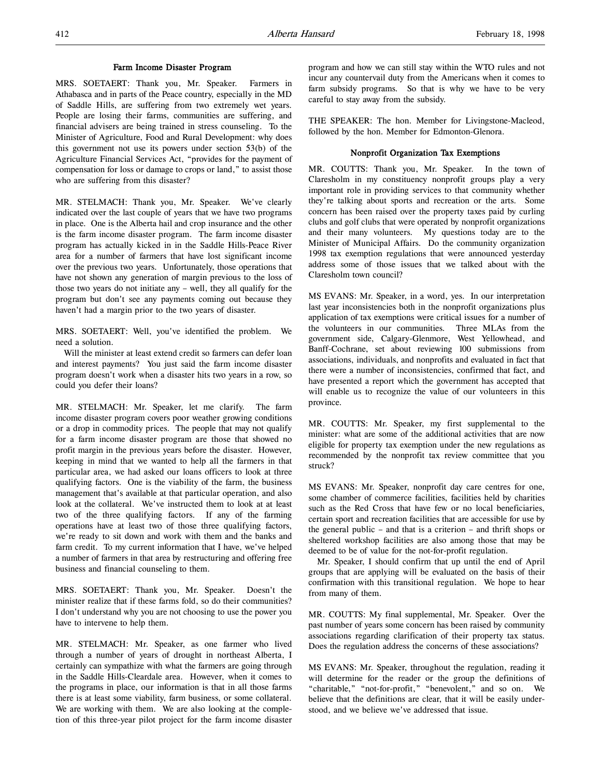#### Farm Income Disaster Program

MRS. SOETAERT: Thank you, Mr. Speaker. Farmers in Athabasca and in parts of the Peace country, especially in the MD of Saddle Hills, are suffering from two extremely wet years. People are losing their farms, communities are suffering, and financial advisers are being trained in stress counseling. To the Minister of Agriculture, Food and Rural Development: why does this government not use its powers under section 53(b) of the Agriculture Financial Services Act, "provides for the payment of compensation for loss or damage to crops or land," to assist those who are suffering from this disaster?

MR. STELMACH: Thank you, Mr. Speaker. We've clearly indicated over the last couple of years that we have two programs in place. One is the Alberta hail and crop insurance and the other is the farm income disaster program. The farm income disaster program has actually kicked in in the Saddle Hills-Peace River area for a number of farmers that have lost significant income over the previous two years. Unfortunately, those operations that have not shown any generation of margin previous to the loss of those two years do not initiate any – well, they all qualify for the program but don't see any payments coming out because they haven't had a margin prior to the two years of disaster.

MRS. SOETAERT: Well, you've identified the problem. We need a solution.

Will the minister at least extend credit so farmers can defer loan and interest payments? You just said the farm income disaster program doesn't work when a disaster hits two years in a row, so could you defer their loans?

MR. STELMACH: Mr. Speaker, let me clarify. The farm income disaster program covers poor weather growing conditions or a drop in commodity prices. The people that may not qualify for a farm income disaster program are those that showed no profit margin in the previous years before the disaster. However, keeping in mind that we wanted to help all the farmers in that particular area, we had asked our loans officers to look at three qualifying factors. One is the viability of the farm, the business management that's available at that particular operation, and also look at the collateral. We've instructed them to look at at least two of the three qualifying factors. If any of the farming operations have at least two of those three qualifying factors, we're ready to sit down and work with them and the banks and farm credit. To my current information that I have, we've helped a number of farmers in that area by restructuring and offering free business and financial counseling to them.

MRS. SOETAERT: Thank you, Mr. Speaker. Doesn't the minister realize that if these farms fold, so do their communities? I don't understand why you are not choosing to use the power you have to intervene to help them.

MR. STELMACH: Mr. Speaker, as one farmer who lived through a number of years of drought in northeast Alberta, I certainly can sympathize with what the farmers are going through in the Saddle Hills-Cleardale area. However, when it comes to the programs in place, our information is that in all those farms there is at least some viability, farm business, or some collateral. We are working with them. We are also looking at the completion of this three-year pilot project for the farm income disaster

program and how we can still stay within the WTO rules and not incur any countervail duty from the Americans when it comes to farm subsidy programs. So that is why we have to be very careful to stay away from the subsidy.

THE SPEAKER: The hon. Member for Livingstone-Macleod, followed by the hon. Member for Edmonton-Glenora.

## Nonprofit Organization Tax Exemptions

MR. COUTTS: Thank you, Mr. Speaker. In the town of Claresholm in my constituency nonprofit groups play a very important role in providing services to that community whether they're talking about sports and recreation or the arts. Some concern has been raised over the property taxes paid by curling clubs and golf clubs that were operated by nonprofit organizations and their many volunteers. My questions today are to the Minister of Municipal Affairs. Do the community organization 1998 tax exemption regulations that were announced yesterday address some of those issues that we talked about with the Claresholm town council?

MS EVANS: Mr. Speaker, in a word, yes. In our interpretation last year inconsistencies both in the nonprofit organizations plus application of tax exemptions were critical issues for a number of the volunteers in our communities. Three MLAs from the government side, Calgary-Glenmore, West Yellowhead, and Banff-Cochrane, set about reviewing 100 submissions from associations, individuals, and nonprofits and evaluated in fact that there were a number of inconsistencies, confirmed that fact, and have presented a report which the government has accepted that will enable us to recognize the value of our volunteers in this province.

MR. COUTTS: Mr. Speaker, my first supplemental to the minister: what are some of the additional activities that are now eligible for property tax exemption under the new regulations as recommended by the nonprofit tax review committee that you struck?

MS EVANS: Mr. Speaker, nonprofit day care centres for one, some chamber of commerce facilities, facilities held by charities such as the Red Cross that have few or no local beneficiaries, certain sport and recreation facilities that are accessible for use by the general public – and that is a criterion – and thrift shops or sheltered workshop facilities are also among those that may be deemed to be of value for the not-for-profit regulation.

Mr. Speaker, I should confirm that up until the end of April groups that are applying will be evaluated on the basis of their confirmation with this transitional regulation. We hope to hear from many of them.

MR. COUTTS: My final supplemental, Mr. Speaker. Over the past number of years some concern has been raised by community associations regarding clarification of their property tax status. Does the regulation address the concerns of these associations?

MS EVANS: Mr. Speaker, throughout the regulation, reading it will determine for the reader or the group the definitions of "charitable," "not-for-profit," "benevolent," and so on. We believe that the definitions are clear, that it will be easily understood, and we believe we've addressed that issue.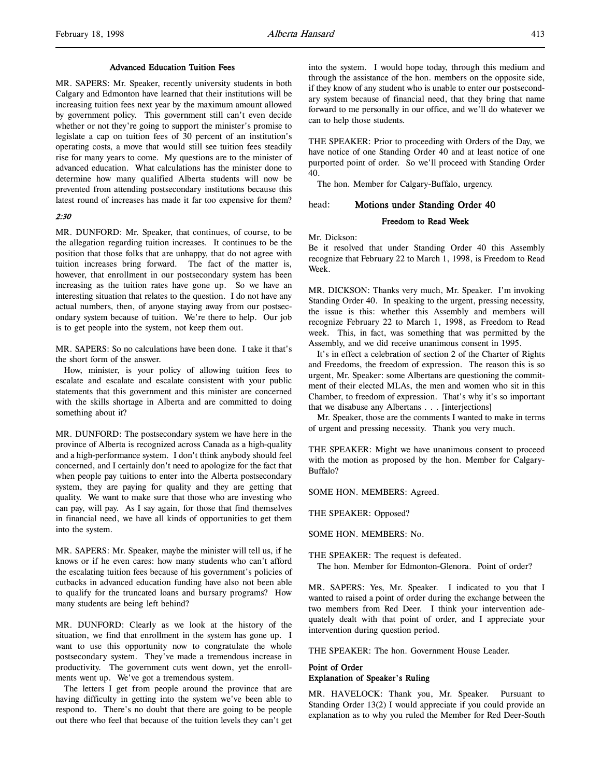#### Advanced Education Tuition Fees

MR. SAPERS: Mr. Speaker, recently university students in both Calgary and Edmonton have learned that their institutions will be increasing tuition fees next year by the maximum amount allowed by government policy. This government still can't even decide whether or not they're going to support the minister's promise to legislate a cap on tuition fees of 30 percent of an institution's operating costs, a move that would still see tuition fees steadily rise for many years to come. My questions are to the minister of advanced education. What calculations has the minister done to determine how many qualified Alberta students will now be prevented from attending postsecondary institutions because this latest round of increases has made it far too expensive for them?

# $2.30$

MR. DUNFORD: Mr. Speaker, that continues, of course, to be the allegation regarding tuition increases. It continues to be the position that those folks that are unhappy, that do not agree with tuition increases bring forward. The fact of the matter is, however, that enrollment in our postsecondary system has been increasing as the tuition rates have gone up. So we have an interesting situation that relates to the question. I do not have any actual numbers, then, of anyone staying away from our postsecondary system because of tuition. We're there to help. Our job is to get people into the system, not keep them out.

MR. SAPERS: So no calculations have been done. I take it that's the short form of the answer.

How, minister, is your policy of allowing tuition fees to escalate and escalate and escalate consistent with your public statements that this government and this minister are concerned with the skills shortage in Alberta and are committed to doing something about it?

MR. DUNFORD: The postsecondary system we have here in the province of Alberta is recognized across Canada as a high-quality and a high-performance system. I don't think anybody should feel concerned, and I certainly don't need to apologize for the fact that when people pay tuitions to enter into the Alberta postsecondary system, they are paying for quality and they are getting that quality. We want to make sure that those who are investing who can pay, will pay. As I say again, for those that find themselves in financial need, we have all kinds of opportunities to get them into the system.

MR. SAPERS: Mr. Speaker, maybe the minister will tell us, if he knows or if he even cares: how many students who can't afford the escalating tuition fees because of his government's policies of cutbacks in advanced education funding have also not been able to qualify for the truncated loans and bursary programs? How many students are being left behind?

MR. DUNFORD: Clearly as we look at the history of the situation, we find that enrollment in the system has gone up. I want to use this opportunity now to congratulate the whole postsecondary system. They've made a tremendous increase in productivity. The government cuts went down, yet the enrollments went up. We've got a tremendous system.

The letters I get from people around the province that are having difficulty in getting into the system we've been able to respond to. There's no doubt that there are going to be people out there who feel that because of the tuition levels they can't get into the system. I would hope today, through this medium and through the assistance of the hon. members on the opposite side, if they know of any student who is unable to enter our postsecondary system because of financial need, that they bring that name forward to me personally in our office, and we'll do whatever we can to help those students.

THE SPEAKER: Prior to proceeding with Orders of the Day, we have notice of one Standing Order 40 and at least notice of one purported point of order. So we'll proceed with Standing Order 40.

The hon. Member for Calgary-Buffalo, urgency.

# head: Motions under Standing Order 40

# Freedom to Read Week

Mr. Dickson:

Be it resolved that under Standing Order 40 this Assembly recognize that February 22 to March 1, 1998, is Freedom to Read Week.

MR. DICKSON: Thanks very much, Mr. Speaker. I'm invoking Standing Order 40. In speaking to the urgent, pressing necessity, the issue is this: whether this Assembly and members will recognize February 22 to March 1, 1998, as Freedom to Read week. This, in fact, was something that was permitted by the Assembly, and we did receive unanimous consent in 1995.

It's in effect a celebration of section 2 of the Charter of Rights and Freedoms, the freedom of expression. The reason this is so urgent, Mr. Speaker: some Albertans are questioning the commitment of their elected MLAs, the men and women who sit in this Chamber, to freedom of expression. That's why it's so important that we disabuse any Albertans . . . [interjections]

Mr. Speaker, those are the comments I wanted to make in terms of urgent and pressing necessity. Thank you very much.

THE SPEAKER: Might we have unanimous consent to proceed with the motion as proposed by the hon. Member for Calgary-Buffalo?

SOME HON. MEMBERS: Agreed.

THE SPEAKER: Opposed?

SOME HON. MEMBERS: No.

THE SPEAKER: The request is defeated.

The hon. Member for Edmonton-Glenora. Point of order?

MR. SAPERS: Yes, Mr. Speaker. I indicated to you that I wanted to raised a point of order during the exchange between the two members from Red Deer. I think your intervention adequately dealt with that point of order, and I appreciate your intervention during question period.

THE SPEAKER: The hon. Government House Leader.

# Point of Order Explanation of Speaker's Ruling

MR. HAVELOCK: Thank you, Mr. Speaker. Pursuant to Standing Order 13(2) I would appreciate if you could provide an explanation as to why you ruled the Member for Red Deer-South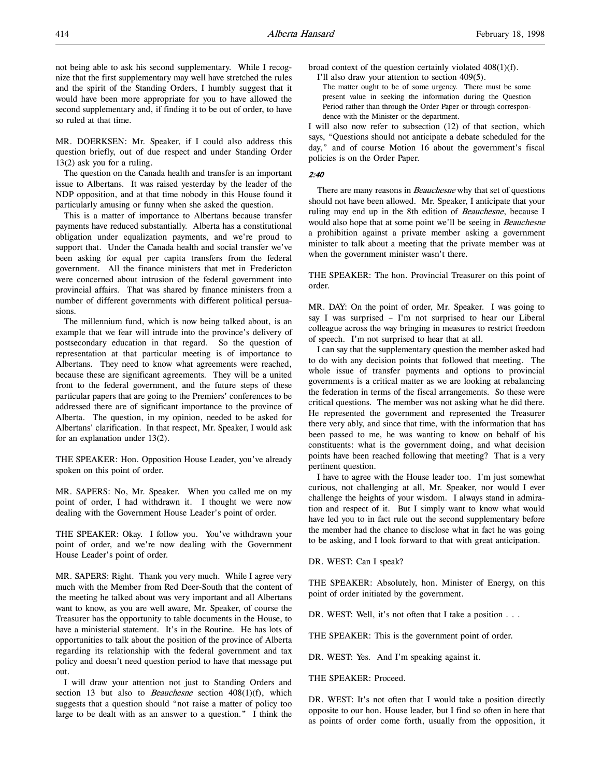not being able to ask his second supplementary. While I recognize that the first supplementary may well have stretched the rules and the spirit of the Standing Orders, I humbly suggest that it would have been more appropriate for you to have allowed the second supplementary and, if finding it to be out of order, to have so ruled at that time.

MR. DOERKSEN: Mr. Speaker, if I could also address this question briefly, out of due respect and under Standing Order 13(2) ask you for a ruling.

The question on the Canada health and transfer is an important issue to Albertans. It was raised yesterday by the leader of the NDP opposition, and at that time nobody in this House found it particularly amusing or funny when she asked the question.

This is a matter of importance to Albertans because transfer payments have reduced substantially. Alberta has a constitutional obligation under equalization payments, and we're proud to support that. Under the Canada health and social transfer we've been asking for equal per capita transfers from the federal government. All the finance ministers that met in Fredericton were concerned about intrusion of the federal government into provincial affairs. That was shared by finance ministers from a number of different governments with different political persuasions.

The millennium fund, which is now being talked about, is an example that we fear will intrude into the province's delivery of postsecondary education in that regard. So the question of representation at that particular meeting is of importance to Albertans. They need to know what agreements were reached, because these are significant agreements. They will be a united front to the federal government, and the future steps of these particular papers that are going to the Premiers' conferences to be addressed there are of significant importance to the province of Alberta. The question, in my opinion, needed to be asked for Albertans' clarification. In that respect, Mr. Speaker, I would ask for an explanation under 13(2).

THE SPEAKER: Hon. Opposition House Leader, you've already spoken on this point of order.

MR. SAPERS: No, Mr. Speaker. When you called me on my point of order, I had withdrawn it. I thought we were now dealing with the Government House Leader's point of order.

THE SPEAKER: Okay. I follow you. You've withdrawn your point of order, and we're now dealing with the Government House Leader's point of order.

MR. SAPERS: Right. Thank you very much. While I agree very much with the Member from Red Deer-South that the content of the meeting he talked about was very important and all Albertans want to know, as you are well aware, Mr. Speaker, of course the Treasurer has the opportunity to table documents in the House, to have a ministerial statement. It's in the Routine. He has lots of opportunities to talk about the position of the province of Alberta regarding its relationship with the federal government and tax policy and doesn't need question period to have that message put out.

I will draw your attention not just to Standing Orders and section 13 but also to *Beauchesne* section  $408(1)(f)$ , which suggests that a question should "not raise a matter of policy too large to be dealt with as an answer to a question." I think the

broad context of the question certainly violated 408(1)(f).

I'll also draw your attention to section 409(5).

The matter ought to be of some urgency. There must be some present value in seeking the information during the Question Period rather than through the Order Paper or through correspondence with the Minister or the department.

I will also now refer to subsection (12) of that section, which says, "Questions should not anticipate a debate scheduled for the day," and of course Motion 16 about the government's fiscal policies is on the Order Paper.

#### 2:40

There are many reasons in *Beauchesne* why that set of questions should not have been allowed. Mr. Speaker, I anticipate that your ruling may end up in the 8th edition of Beauchesne, because I would also hope that at some point we'll be seeing in Beauchesne a prohibition against a private member asking a government minister to talk about a meeting that the private member was at when the government minister wasn't there.

THE SPEAKER: The hon. Provincial Treasurer on this point of order.

MR. DAY: On the point of order, Mr. Speaker. I was going to say I was surprised – I'm not surprised to hear our Liberal colleague across the way bringing in measures to restrict freedom of speech. I'm not surprised to hear that at all.

I can say that the supplementary question the member asked had to do with any decision points that followed that meeting. The whole issue of transfer payments and options to provincial governments is a critical matter as we are looking at rebalancing the federation in terms of the fiscal arrangements. So these were critical questions. The member was not asking what he did there. He represented the government and represented the Treasurer there very ably, and since that time, with the information that has been passed to me, he was wanting to know on behalf of his constituents: what is the government doing, and what decision points have been reached following that meeting? That is a very pertinent question.

I have to agree with the House leader too. I'm just somewhat curious, not challenging at all, Mr. Speaker, nor would I ever challenge the heights of your wisdom. I always stand in admiration and respect of it. But I simply want to know what would have led you to in fact rule out the second supplementary before the member had the chance to disclose what in fact he was going to be asking, and I look forward to that with great anticipation.

DR. WEST: Can I speak?

THE SPEAKER: Absolutely, hon. Minister of Energy, on this point of order initiated by the government.

DR. WEST: Well, it's not often that I take a position . . .

THE SPEAKER: This is the government point of order.

DR. WEST: Yes. And I'm speaking against it.

THE SPEAKER: Proceed.

DR. WEST: It's not often that I would take a position directly opposite to our hon. House leader, but I find so often in here that as points of order come forth, usually from the opposition, it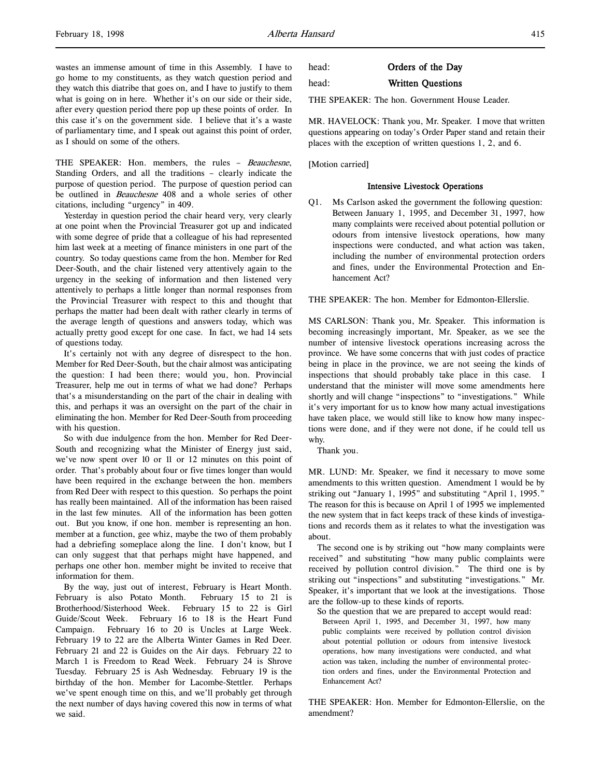THE SPEAKER: Hon. members, the rules - Beauchesne, Standing Orders, and all the traditions – clearly indicate the purpose of question period. The purpose of question period can be outlined in Beauchesne 408 and a whole series of other citations, including "urgency" in 409.

Yesterday in question period the chair heard very, very clearly at one point when the Provincial Treasurer got up and indicated with some degree of pride that a colleague of his had represented him last week at a meeting of finance ministers in one part of the country. So today questions came from the hon. Member for Red Deer-South, and the chair listened very attentively again to the urgency in the seeking of information and then listened very attentively to perhaps a little longer than normal responses from the Provincial Treasurer with respect to this and thought that perhaps the matter had been dealt with rather clearly in terms of the average length of questions and answers today, which was actually pretty good except for one case. In fact, we had 14 sets of questions today.

It's certainly not with any degree of disrespect to the hon. Member for Red Deer-South, but the chair almost was anticipating the question: I had been there; would you, hon. Provincial Treasurer, help me out in terms of what we had done? Perhaps that's a misunderstanding on the part of the chair in dealing with this, and perhaps it was an oversight on the part of the chair in eliminating the hon. Member for Red Deer-South from proceeding with his question.

So with due indulgence from the hon. Member for Red Deer-South and recognizing what the Minister of Energy just said, we've now spent over 10 or 11 or 12 minutes on this point of order. That's probably about four or five times longer than would have been required in the exchange between the hon. members from Red Deer with respect to this question. So perhaps the point has really been maintained. All of the information has been raised in the last few minutes. All of the information has been gotten out. But you know, if one hon. member is representing an hon. member at a function, gee whiz, maybe the two of them probably had a debriefing someplace along the line. I don't know, but I can only suggest that that perhaps might have happened, and perhaps one other hon. member might be invited to receive that information for them.

By the way, just out of interest, February is Heart Month. February is also Potato Month. February 15 to 21 is Brotherhood/Sisterhood Week. February 15 to 22 is Girl Guide/Scout Week. February 16 to 18 is the Heart Fund Campaign. February 16 to 20 is Uncles at Large Week. February 19 to 22 are the Alberta Winter Games in Red Deer. February 21 and 22 is Guides on the Air days. February 22 to March 1 is Freedom to Read Week. February 24 is Shrove Tuesday. February 25 is Ash Wednesday. February 19 is the birthday of the hon. Member for Lacombe-Stettler. Perhaps we've spent enough time on this, and we'll probably get through the next number of days having covered this now in terms of what we said.

# head: Written Questions

THE SPEAKER: The hon. Government House Leader.

MR. HAVELOCK: Thank you, Mr. Speaker. I move that written questions appearing on today's Order Paper stand and retain their places with the exception of written questions 1, 2, and 6.

[Motion carried]

#### Intensive Livestock Operations

Q1. Ms Carlson asked the government the following question: Between January 1, 1995, and December 31, 1997, how many complaints were received about potential pollution or odours from intensive livestock operations, how many inspections were conducted, and what action was taken, including the number of environmental protection orders and fines, under the Environmental Protection and Enhancement Act?

THE SPEAKER: The hon. Member for Edmonton-Ellerslie.

MS CARLSON: Thank you, Mr. Speaker. This information is becoming increasingly important, Mr. Speaker, as we see the number of intensive livestock operations increasing across the province. We have some concerns that with just codes of practice being in place in the province, we are not seeing the kinds of inspections that should probably take place in this case. I understand that the minister will move some amendments here shortly and will change "inspections" to "investigations." While it's very important for us to know how many actual investigations have taken place, we would still like to know how many inspections were done, and if they were not done, if he could tell us why.

Thank you.

MR. LUND: Mr. Speaker, we find it necessary to move some amendments to this written question. Amendment 1 would be by striking out "January 1, 1995" and substituting "April 1, 1995." The reason for this is because on April 1 of 1995 we implemented the new system that in fact keeps track of these kinds of investigations and records them as it relates to what the investigation was about.

The second one is by striking out "how many complaints were received" and substituting "how many public complaints were received by pollution control division." The third one is by striking out "inspections" and substituting "investigations." Mr. Speaker, it's important that we look at the investigations. Those are the follow-up to these kinds of reports.

So the question that we are prepared to accept would read: Between April 1, 1995, and December 31, 1997, how many public complaints were received by pollution control division about potential pollution or odours from intensive livestock operations, how many investigations were conducted, and what action was taken, including the number of environmental protection orders and fines, under the Environmental Protection and Enhancement Act?

THE SPEAKER: Hon. Member for Edmonton-Ellerslie, on the amendment?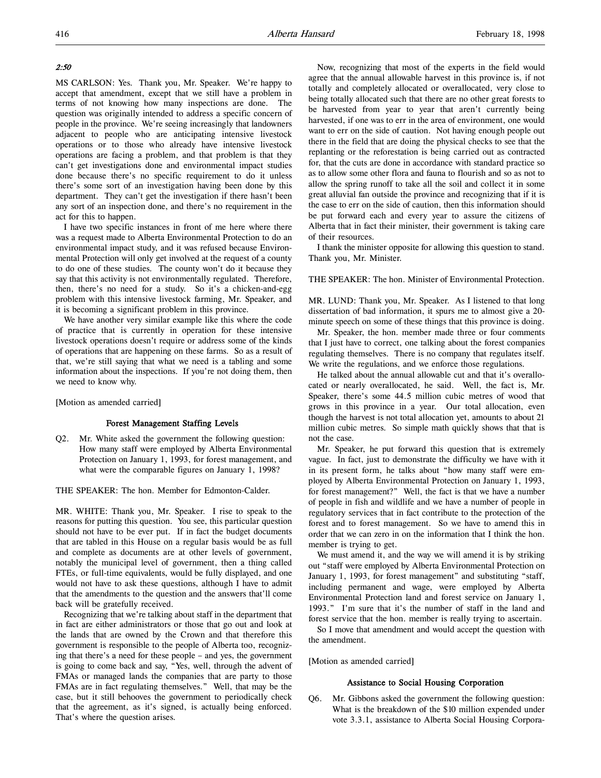## 2:50

MS CARLSON: Yes. Thank you, Mr. Speaker. We're happy to accept that amendment, except that we still have a problem in terms of not knowing how many inspections are done. The question was originally intended to address a specific concern of people in the province. We're seeing increasingly that landowners adjacent to people who are anticipating intensive livestock operations or to those who already have intensive livestock operations are facing a problem, and that problem is that they can't get investigations done and environmental impact studies done because there's no specific requirement to do it unless there's some sort of an investigation having been done by this department. They can't get the investigation if there hasn't been any sort of an inspection done, and there's no requirement in the act for this to happen.

I have two specific instances in front of me here where there was a request made to Alberta Environmental Protection to do an environmental impact study, and it was refused because Environmental Protection will only get involved at the request of a county to do one of these studies. The county won't do it because they say that this activity is not environmentally regulated. Therefore, then, there's no need for a study. So it's a chicken-and-egg problem with this intensive livestock farming, Mr. Speaker, and it is becoming a significant problem in this province.

We have another very similar example like this where the code of practice that is currently in operation for these intensive livestock operations doesn't require or address some of the kinds of operations that are happening on these farms. So as a result of that, we're still saying that what we need is a tabling and some information about the inspections. If you're not doing them, then we need to know why.

[Motion as amended carried]

## Forest Management Staffing Levels

Q2. Mr. White asked the government the following question: How many staff were employed by Alberta Environmental Protection on January 1, 1993, for forest management, and what were the comparable figures on January 1, 1998?

THE SPEAKER: The hon. Member for Edmonton-Calder.

MR. WHITE: Thank you, Mr. Speaker. I rise to speak to the reasons for putting this question. You see, this particular question should not have to be ever put. If in fact the budget documents that are tabled in this House on a regular basis would be as full and complete as documents are at other levels of government, notably the municipal level of government, then a thing called FTEs, or full-time equivalents, would be fully displayed, and one would not have to ask these questions, although I have to admit that the amendments to the question and the answers that'll come back will be gratefully received.

Recognizing that we're talking about staff in the department that in fact are either administrators or those that go out and look at the lands that are owned by the Crown and that therefore this government is responsible to the people of Alberta too, recognizing that there's a need for these people – and yes, the government is going to come back and say, "Yes, well, through the advent of FMAs or managed lands the companies that are party to those FMAs are in fact regulating themselves." Well, that may be the case, but it still behooves the government to periodically check that the agreement, as it's signed, is actually being enforced. That's where the question arises.

Now, recognizing that most of the experts in the field would agree that the annual allowable harvest in this province is, if not totally and completely allocated or overallocated, very close to being totally allocated such that there are no other great forests to be harvested from year to year that aren't currently being harvested, if one was to err in the area of environment, one would want to err on the side of caution. Not having enough people out there in the field that are doing the physical checks to see that the replanting or the reforestation is being carried out as contracted for, that the cuts are done in accordance with standard practice so as to allow some other flora and fauna to flourish and so as not to allow the spring runoff to take all the soil and collect it in some great alluvial fan outside the province and recognizing that if it is the case to err on the side of caution, then this information should be put forward each and every year to assure the citizens of Alberta that in fact their minister, their government is taking care of their resources.

I thank the minister opposite for allowing this question to stand. Thank you, Mr. Minister.

THE SPEAKER: The hon. Minister of Environmental Protection.

MR. LUND: Thank you, Mr. Speaker. As I listened to that long dissertation of bad information, it spurs me to almost give a 20 minute speech on some of these things that this province is doing.

Mr. Speaker, the hon. member made three or four comments that I just have to correct, one talking about the forest companies regulating themselves. There is no company that regulates itself. We write the regulations, and we enforce those regulations.

He talked about the annual allowable cut and that it's overallocated or nearly overallocated, he said. Well, the fact is, Mr. Speaker, there's some 44.5 million cubic metres of wood that grows in this province in a year. Our total allocation, even though the harvest is not total allocation yet, amounts to about 21 million cubic metres. So simple math quickly shows that that is not the case.

Mr. Speaker, he put forward this question that is extremely vague. In fact, just to demonstrate the difficulty we have with it in its present form, he talks about "how many staff were employed by Alberta Environmental Protection on January 1, 1993, for forest management?" Well, the fact is that we have a number of people in fish and wildlife and we have a number of people in regulatory services that in fact contribute to the protection of the forest and to forest management. So we have to amend this in order that we can zero in on the information that I think the hon. member is trying to get.

We must amend it, and the way we will amend it is by striking out "staff were employed by Alberta Environmental Protection on January 1, 1993, for forest management" and substituting "staff, including permanent and wage, were employed by Alberta Environmental Protection land and forest service on January 1, 1993." I'm sure that it's the number of staff in the land and forest service that the hon. member is really trying to ascertain.

So I move that amendment and would accept the question with the amendment.

[Motion as amended carried]

#### Assistance to Social Housing Corporation

Q6. Mr. Gibbons asked the government the following question: What is the breakdown of the \$10 million expended under vote 3.3.1, assistance to Alberta Social Housing Corpora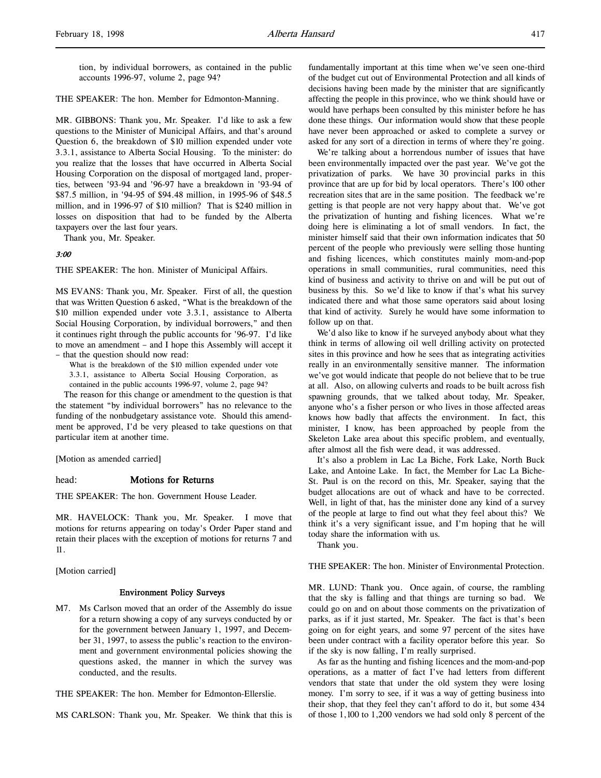tion, by individual borrowers, as contained in the public accounts 1996-97, volume 2, page 94?

THE SPEAKER: The hon. Member for Edmonton-Manning.

MR. GIBBONS: Thank you, Mr. Speaker. I'd like to ask a few questions to the Minister of Municipal Affairs, and that's around Question 6, the breakdown of \$10 million expended under vote 3.3.1, assistance to Alberta Social Housing. To the minister: do you realize that the losses that have occurred in Alberta Social Housing Corporation on the disposal of mortgaged land, properties, between '93-94 and '96-97 have a breakdown in '93-94 of \$87.5 million, in '94-95 of \$94.48 million, in 1995-96 of \$48.5 million, and in 1996-97 of \$10 million? That is \$240 million in losses on disposition that had to be funded by the Alberta taxpayers over the last four years.

Thank you, Mr. Speaker.

#### 3:00

THE SPEAKER: The hon. Minister of Municipal Affairs.

MS EVANS: Thank you, Mr. Speaker. First of all, the question that was Written Question 6 asked, "What is the breakdown of the \$10 million expended under vote 3.3.1, assistance to Alberta Social Housing Corporation, by individual borrowers," and then it continues right through the public accounts for '96-97. I'd like to move an amendment – and I hope this Assembly will accept it – that the question should now read:

What is the breakdown of the \$10 million expended under vote 3.3.1, assistance to Alberta Social Housing Corporation, as contained in the public accounts 1996-97, volume 2, page 94?

The reason for this change or amendment to the question is that the statement "by individual borrowers" has no relevance to the funding of the nonbudgetary assistance vote. Should this amendment be approved, I'd be very pleased to take questions on that particular item at another time.

[Motion as amended carried]

#### head: **Motions for Returns**

THE SPEAKER: The hon. Government House Leader.

MR. HAVELOCK: Thank you, Mr. Speaker. I move that motions for returns appearing on today's Order Paper stand and retain their places with the exception of motions for returns 7 and 11.

[Motion carried]

#### Environment Policy Surveys

M7. Ms Carlson moved that an order of the Assembly do issue for a return showing a copy of any surveys conducted by or for the government between January 1, 1997, and December 31, 1997, to assess the public's reaction to the environment and government environmental policies showing the questions asked, the manner in which the survey was conducted, and the results.

THE SPEAKER: The hon. Member for Edmonton-Ellerslie.

MS CARLSON: Thank you, Mr. Speaker. We think that this is

fundamentally important at this time when we've seen one-third of the budget cut out of Environmental Protection and all kinds of decisions having been made by the minister that are significantly affecting the people in this province, who we think should have or would have perhaps been consulted by this minister before he has done these things. Our information would show that these people have never been approached or asked to complete a survey or asked for any sort of a direction in terms of where they're going.

We're talking about a horrendous number of issues that have been environmentally impacted over the past year. We've got the privatization of parks. We have 30 provincial parks in this province that are up for bid by local operators. There's 100 other recreation sites that are in the same position. The feedback we're getting is that people are not very happy about that. We've got the privatization of hunting and fishing licences. What we're doing here is eliminating a lot of small vendors. In fact, the minister himself said that their own information indicates that 50 percent of the people who previously were selling those hunting and fishing licences, which constitutes mainly mom-and-pop operations in small communities, rural communities, need this kind of business and activity to thrive on and will be put out of business by this. So we'd like to know if that's what his survey indicated there and what those same operators said about losing that kind of activity. Surely he would have some information to follow up on that.

We'd also like to know if he surveyed anybody about what they think in terms of allowing oil well drilling activity on protected sites in this province and how he sees that as integrating activities really in an environmentally sensitive manner. The information we've got would indicate that people do not believe that to be true at all. Also, on allowing culverts and roads to be built across fish spawning grounds, that we talked about today, Mr. Speaker, anyone who's a fisher person or who lives in those affected areas knows how badly that affects the environment. In fact, this minister, I know, has been approached by people from the Skeleton Lake area about this specific problem, and eventually, after almost all the fish were dead, it was addressed.

It's also a problem in Lac La Biche, Fork Lake, North Buck Lake, and Antoine Lake. In fact, the Member for Lac La Biche-St. Paul is on the record on this, Mr. Speaker, saying that the budget allocations are out of whack and have to be corrected. Well, in light of that, has the minister done any kind of a survey of the people at large to find out what they feel about this? We think it's a very significant issue, and I'm hoping that he will today share the information with us.

Thank you.

THE SPEAKER: The hon. Minister of Environmental Protection.

MR. LUND: Thank you. Once again, of course, the rambling that the sky is falling and that things are turning so bad. We could go on and on about those comments on the privatization of parks, as if it just started, Mr. Speaker. The fact is that's been going on for eight years, and some 97 percent of the sites have been under contract with a facility operator before this year. So if the sky is now falling, I'm really surprised.

As far as the hunting and fishing licences and the mom-and-pop operations, as a matter of fact I've had letters from different vendors that state that under the old system they were losing money. I'm sorry to see, if it was a way of getting business into their shop, that they feel they can't afford to do it, but some 434 of those 1,100 to 1,200 vendors we had sold only 8 percent of the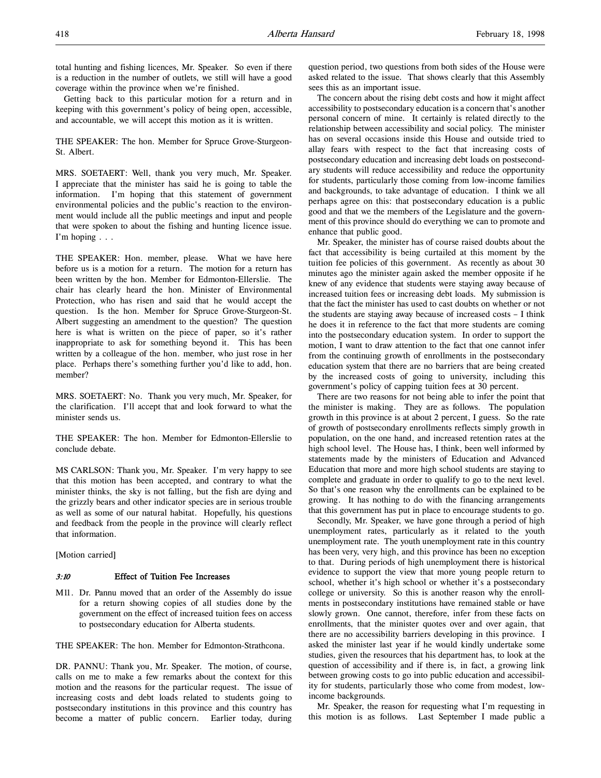total hunting and fishing licences, Mr. Speaker. So even if there is a reduction in the number of outlets, we still will have a good coverage within the province when we're finished.

Getting back to this particular motion for a return and in keeping with this government's policy of being open, accessible, and accountable, we will accept this motion as it is written.

THE SPEAKER: The hon. Member for Spruce Grove-Sturgeon-St. Albert.

MRS. SOETAERT: Well, thank you very much, Mr. Speaker. I appreciate that the minister has said he is going to table the information. I'm hoping that this statement of government environmental policies and the public's reaction to the environment would include all the public meetings and input and people that were spoken to about the fishing and hunting licence issue. I'm hoping . . .

THE SPEAKER: Hon. member, please. What we have here before us is a motion for a return. The motion for a return has been written by the hon. Member for Edmonton-Ellerslie. The chair has clearly heard the hon. Minister of Environmental Protection, who has risen and said that he would accept the question. Is the hon. Member for Spruce Grove-Sturgeon-St. Albert suggesting an amendment to the question? The question here is what is written on the piece of paper, so it's rather inappropriate to ask for something beyond it. This has been written by a colleague of the hon. member, who just rose in her place. Perhaps there's something further you'd like to add, hon. member?

MRS. SOETAERT: No. Thank you very much, Mr. Speaker, for the clarification. I'll accept that and look forward to what the minister sends us.

THE SPEAKER: The hon. Member for Edmonton-Ellerslie to conclude debate.

MS CARLSON: Thank you, Mr. Speaker. I'm very happy to see that this motion has been accepted, and contrary to what the minister thinks, the sky is not falling, but the fish are dying and the grizzly bears and other indicator species are in serious trouble as well as some of our natural habitat. Hopefully, his questions and feedback from the people in the province will clearly reflect that information.

[Motion carried]

#### 3:10 Effect of Tuition Fee Increases

M11. Dr. Pannu moved that an order of the Assembly do issue for a return showing copies of all studies done by the government on the effect of increased tuition fees on access to postsecondary education for Alberta students.

THE SPEAKER: The hon. Member for Edmonton-Strathcona.

DR. PANNU: Thank you, Mr. Speaker. The motion, of course, calls on me to make a few remarks about the context for this motion and the reasons for the particular request. The issue of increasing costs and debt loads related to students going to postsecondary institutions in this province and this country has become a matter of public concern. Earlier today, during

question period, two questions from both sides of the House were asked related to the issue. That shows clearly that this Assembly sees this as an important issue.

The concern about the rising debt costs and how it might affect accessibility to postsecondary education is a concern that's another personal concern of mine. It certainly is related directly to the relationship between accessibility and social policy. The minister has on several occasions inside this House and outside tried to allay fears with respect to the fact that increasing costs of postsecondary education and increasing debt loads on postsecondary students will reduce accessibility and reduce the opportunity for students, particularly those coming from low-income families and backgrounds, to take advantage of education. I think we all perhaps agree on this: that postsecondary education is a public good and that we the members of the Legislature and the government of this province should do everything we can to promote and enhance that public good.

Mr. Speaker, the minister has of course raised doubts about the fact that accessibility is being curtailed at this moment by the tuition fee policies of this government. As recently as about 30 minutes ago the minister again asked the member opposite if he knew of any evidence that students were staying away because of increased tuition fees or increasing debt loads. My submission is that the fact the minister has used to cast doubts on whether or not the students are staying away because of increased costs – I think he does it in reference to the fact that more students are coming into the postsecondary education system. In order to support the motion, I want to draw attention to the fact that one cannot infer from the continuing growth of enrollments in the postsecondary education system that there are no barriers that are being created by the increased costs of going to university, including this government's policy of capping tuition fees at 30 percent.

There are two reasons for not being able to infer the point that the minister is making. They are as follows. The population growth in this province is at about 2 percent, I guess. So the rate of growth of postsecondary enrollments reflects simply growth in population, on the one hand, and increased retention rates at the high school level. The House has, I think, been well informed by statements made by the ministers of Education and Advanced Education that more and more high school students are staying to complete and graduate in order to qualify to go to the next level. So that's one reason why the enrollments can be explained to be growing. It has nothing to do with the financing arrangements that this government has put in place to encourage students to go.

Secondly, Mr. Speaker, we have gone through a period of high unemployment rates, particularly as it related to the youth unemployment rate. The youth unemployment rate in this country has been very, very high, and this province has been no exception to that. During periods of high unemployment there is historical evidence to support the view that more young people return to school, whether it's high school or whether it's a postsecondary college or university. So this is another reason why the enrollments in postsecondary institutions have remained stable or have slowly grown. One cannot, therefore, infer from these facts on enrollments, that the minister quotes over and over again, that there are no accessibility barriers developing in this province. I asked the minister last year if he would kindly undertake some studies, given the resources that his department has, to look at the question of accessibility and if there is, in fact, a growing link between growing costs to go into public education and accessibility for students, particularly those who come from modest, lowincome backgrounds.

Mr. Speaker, the reason for requesting what I'm requesting in this motion is as follows. Last September I made public a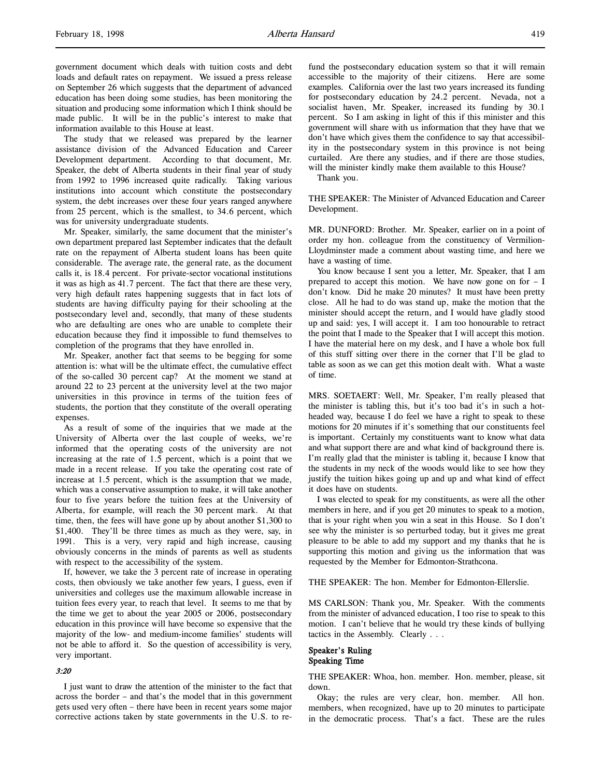government document which deals with tuition costs and debt loads and default rates on repayment. We issued a press release on September 26 which suggests that the department of advanced education has been doing some studies, has been monitoring the situation and producing some information which I think should be made public. It will be in the public's interest to make that information available to this House at least.

The study that we released was prepared by the learner assistance division of the Advanced Education and Career Development department. According to that document, Mr. Speaker, the debt of Alberta students in their final year of study from 1992 to 1996 increased quite radically. Taking various institutions into account which constitute the postsecondary system, the debt increases over these four years ranged anywhere from 25 percent, which is the smallest, to 34.6 percent, which was for university undergraduate students.

Mr. Speaker, similarly, the same document that the minister's own department prepared last September indicates that the default rate on the repayment of Alberta student loans has been quite considerable. The average rate, the general rate, as the document calls it, is 18.4 percent. For private-sector vocational institutions it was as high as 41.7 percent. The fact that there are these very, very high default rates happening suggests that in fact lots of students are having difficulty paying for their schooling at the postsecondary level and, secondly, that many of these students who are defaulting are ones who are unable to complete their education because they find it impossible to fund themselves to completion of the programs that they have enrolled in.

Mr. Speaker, another fact that seems to be begging for some attention is: what will be the ultimate effect, the cumulative effect of the so-called 30 percent cap? At the moment we stand at around 22 to 23 percent at the university level at the two major universities in this province in terms of the tuition fees of students, the portion that they constitute of the overall operating expenses.

As a result of some of the inquiries that we made at the University of Alberta over the last couple of weeks, we're informed that the operating costs of the university are not increasing at the rate of 1.5 percent, which is a point that we made in a recent release. If you take the operating cost rate of increase at 1.5 percent, which is the assumption that we made, which was a conservative assumption to make, it will take another four to five years before the tuition fees at the University of Alberta, for example, will reach the 30 percent mark. At that time, then, the fees will have gone up by about another \$1,300 to \$1,400. They'll be three times as much as they were, say, in 1991. This is a very, very rapid and high increase, causing obviously concerns in the minds of parents as well as students with respect to the accessibility of the system.

If, however, we take the 3 percent rate of increase in operating costs, then obviously we take another few years, I guess, even if universities and colleges use the maximum allowable increase in tuition fees every year, to reach that level. It seems to me that by the time we get to about the year 2005 or 2006, postsecondary education in this province will have become so expensive that the majority of the low- and medium-income families' students will not be able to afford it. So the question of accessibility is very, very important.

#### 3:20

I just want to draw the attention of the minister to the fact that across the border – and that's the model that in this government gets used very often – there have been in recent years some major corrective actions taken by state governments in the U.S. to refund the postsecondary education system so that it will remain accessible to the majority of their citizens. Here are some examples. California over the last two years increased its funding for postsecondary education by 24.2 percent. Nevada, not a socialist haven, Mr. Speaker, increased its funding by 30.1 percent. So I am asking in light of this if this minister and this government will share with us information that they have that we don't have which gives them the confidence to say that accessibility in the postsecondary system in this province is not being curtailed. Are there any studies, and if there are those studies, will the minister kindly make them available to this House?

Thank you.

THE SPEAKER: The Minister of Advanced Education and Career Development.

MR. DUNFORD: Brother. Mr. Speaker, earlier on in a point of order my hon. colleague from the constituency of Vermilion-Lloydminster made a comment about wasting time, and here we have a wasting of time.

You know because I sent you a letter, Mr. Speaker, that I am prepared to accept this motion. We have now gone on for – I don't know. Did he make 20 minutes? It must have been pretty close. All he had to do was stand up, make the motion that the minister should accept the return, and I would have gladly stood up and said: yes, I will accept it. I am too honourable to retract the point that I made to the Speaker that I will accept this motion. I have the material here on my desk, and I have a whole box full of this stuff sitting over there in the corner that I'll be glad to table as soon as we can get this motion dealt with. What a waste of time.

MRS. SOETAERT: Well, Mr. Speaker, I'm really pleased that the minister is tabling this, but it's too bad it's in such a hotheaded way, because I do feel we have a right to speak to these motions for 20 minutes if it's something that our constituents feel is important. Certainly my constituents want to know what data and what support there are and what kind of background there is. I'm really glad that the minister is tabling it, because I know that the students in my neck of the woods would like to see how they justify the tuition hikes going up and up and what kind of effect it does have on students.

I was elected to speak for my constituents, as were all the other members in here, and if you get 20 minutes to speak to a motion, that is your right when you win a seat in this House. So I don't see why the minister is so perturbed today, but it gives me great pleasure to be able to add my support and my thanks that he is supporting this motion and giving us the information that was requested by the Member for Edmonton-Strathcona.

THE SPEAKER: The hon. Member for Edmonton-Ellerslie.

MS CARLSON: Thank you, Mr. Speaker. With the comments from the minister of advanced education, I too rise to speak to this motion. I can't believe that he would try these kinds of bullying tactics in the Assembly. Clearly . . .

#### Speaker's Ruling Speaking Time

THE SPEAKER: Whoa, hon. member. Hon. member, please, sit down.

Okay; the rules are very clear, hon. member. All hon. members, when recognized, have up to 20 minutes to participate in the democratic process. That's a fact. These are the rules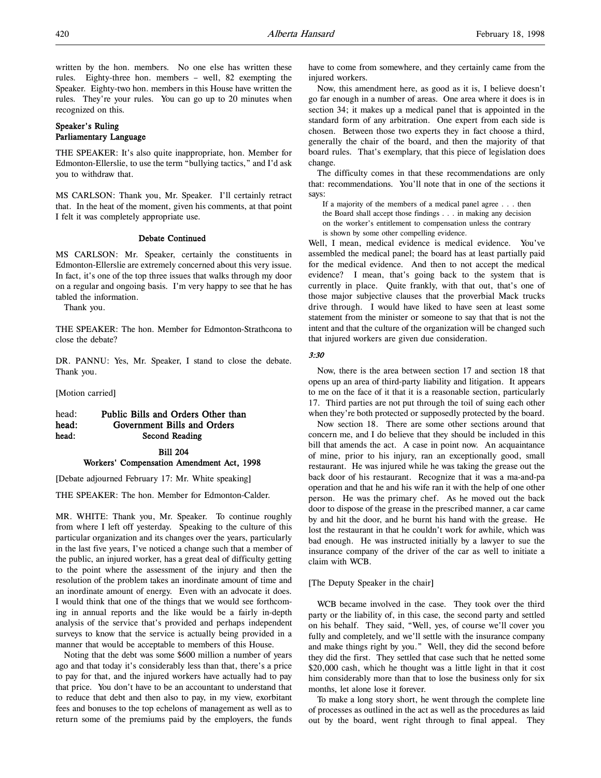written by the hon. members. No one else has written these rules. Eighty-three hon. members – well, 82 exempting the Speaker. Eighty-two hon. members in this House have written the rules. They're your rules. You can go up to 20 minutes when recognized on this.

# Speaker's Ruling Parliamentary Language

THE SPEAKER: It's also quite inappropriate, hon. Member for Edmonton-Ellerslie, to use the term "bullying tactics," and I'd ask you to withdraw that.

MS CARLSON: Thank you, Mr. Speaker. I'll certainly retract that. In the heat of the moment, given his comments, at that point I felt it was completely appropriate use.

#### Debate Continued

MS CARLSON: Mr. Speaker, certainly the constituents in Edmonton-Ellerslie are extremely concerned about this very issue. In fact, it's one of the top three issues that walks through my door on a regular and ongoing basis. I'm very happy to see that he has tabled the information.

Thank you.

THE SPEAKER: The hon. Member for Edmonton-Strathcona to close the debate?

DR. PANNU: Yes, Mr. Speaker, I stand to close the debate. Thank you.

[Motion carried]

# head: Public Bills and Orders Other than head: Government Bills and Orders head: Second Reading

# Bill 204 Workers' Compensation Amendment Act, 1998

[Debate adjourned February 17: Mr. White speaking]

THE SPEAKER: The hon. Member for Edmonton-Calder.

MR. WHITE: Thank you, Mr. Speaker. To continue roughly from where I left off yesterday. Speaking to the culture of this particular organization and its changes over the years, particularly in the last five years, I've noticed a change such that a member of the public, an injured worker, has a great deal of difficulty getting to the point where the assessment of the injury and then the resolution of the problem takes an inordinate amount of time and an inordinate amount of energy. Even with an advocate it does. I would think that one of the things that we would see forthcoming in annual reports and the like would be a fairly in-depth analysis of the service that's provided and perhaps independent surveys to know that the service is actually being provided in a manner that would be acceptable to members of this House.

Noting that the debt was some \$600 million a number of years ago and that today it's considerably less than that, there's a price to pay for that, and the injured workers have actually had to pay that price. You don't have to be an accountant to understand that to reduce that debt and then also to pay, in my view, exorbitant fees and bonuses to the top echelons of management as well as to return some of the premiums paid by the employers, the funds have to come from somewhere, and they certainly came from the injured workers.

Now, this amendment here, as good as it is, I believe doesn't go far enough in a number of areas. One area where it does is in section 34; it makes up a medical panel that is appointed in the standard form of any arbitration. One expert from each side is chosen. Between those two experts they in fact choose a third, generally the chair of the board, and then the majority of that board rules. That's exemplary, that this piece of legislation does change.

The difficulty comes in that these recommendations are only that: recommendations. You'll note that in one of the sections it says:

If a majority of the members of a medical panel agree . . . then the Board shall accept those findings . . . in making any decision on the worker's entitlement to compensation unless the contrary is shown by some other compelling evidence.

Well, I mean, medical evidence is medical evidence. You've assembled the medical panel; the board has at least partially paid for the medical evidence. And then to not accept the medical evidence? I mean, that's going back to the system that is currently in place. Quite frankly, with that out, that's one of those major subjective clauses that the proverbial Mack trucks drive through. I would have liked to have seen at least some statement from the minister or someone to say that that is not the intent and that the culture of the organization will be changed such that injured workers are given due consideration.

# 3:30

Now, there is the area between section 17 and section 18 that opens up an area of third-party liability and litigation. It appears to me on the face of it that it is a reasonable section, particularly 17. Third parties are not put through the toil of suing each other when they're both protected or supposedly protected by the board.

Now section 18. There are some other sections around that concern me, and I do believe that they should be included in this bill that amends the act. A case in point now. An acquaintance of mine, prior to his injury, ran an exceptionally good, small restaurant. He was injured while he was taking the grease out the back door of his restaurant. Recognize that it was a ma-and-pa operation and that he and his wife ran it with the help of one other person. He was the primary chef. As he moved out the back door to dispose of the grease in the prescribed manner, a car came by and hit the door, and he burnt his hand with the grease. He lost the restaurant in that he couldn't work for awhile, which was bad enough. He was instructed initially by a lawyer to sue the insurance company of the driver of the car as well to initiate a claim with WCB.

#### [The Deputy Speaker in the chair]

WCB became involved in the case. They took over the third party or the liability of, in this case, the second party and settled on his behalf. They said, "Well, yes, of course we'll cover you fully and completely, and we'll settle with the insurance company and make things right by you." Well, they did the second before they did the first. They settled that case such that he netted some \$20,000 cash, which he thought was a little light in that it cost him considerably more than that to lose the business only for six months, let alone lose it forever.

To make a long story short, he went through the complete line of processes as outlined in the act as well as the procedures as laid out by the board, went right through to final appeal. They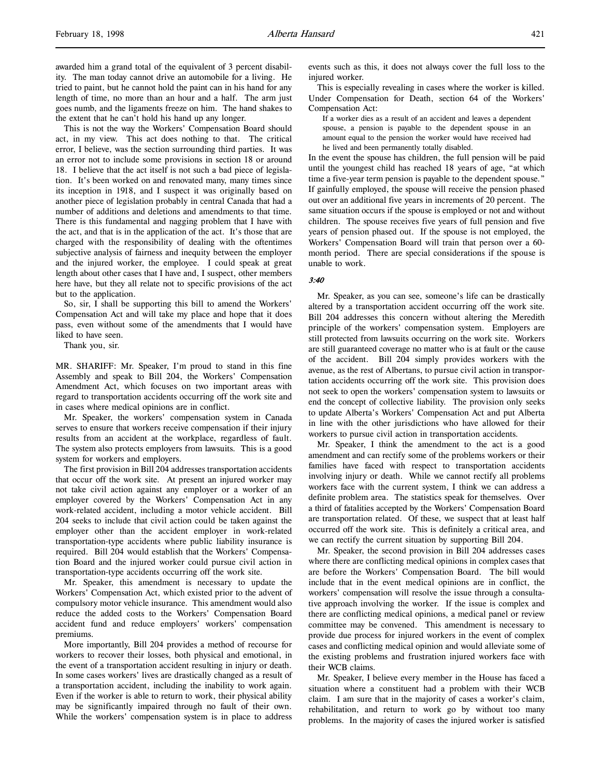This is not the way the Workers' Compensation Board should act, in my view. This act does nothing to that. The critical error, I believe, was the section surrounding third parties. It was an error not to include some provisions in section 18 or around 18. I believe that the act itself is not such a bad piece of legislation. It's been worked on and renovated many, many times since its inception in 1918, and I suspect it was originally based on another piece of legislation probably in central Canada that had a number of additions and deletions and amendments to that time. There is this fundamental and nagging problem that I have with the act, and that is in the application of the act. It's those that are charged with the responsibility of dealing with the oftentimes subjective analysis of fairness and inequity between the employer and the injured worker, the employee. I could speak at great length about other cases that I have and, I suspect, other members here have, but they all relate not to specific provisions of the act but to the application.

So, sir, I shall be supporting this bill to amend the Workers' Compensation Act and will take my place and hope that it does pass, even without some of the amendments that I would have liked to have seen.

Thank you, sir.

MR. SHARIFF: Mr. Speaker, I'm proud to stand in this fine Assembly and speak to Bill 204, the Workers' Compensation Amendment Act, which focuses on two important areas with regard to transportation accidents occurring off the work site and in cases where medical opinions are in conflict.

Mr. Speaker, the workers' compensation system in Canada serves to ensure that workers receive compensation if their injury results from an accident at the workplace, regardless of fault. The system also protects employers from lawsuits. This is a good system for workers and employers.

The first provision in Bill 204 addresses transportation accidents that occur off the work site. At present an injured worker may not take civil action against any employer or a worker of an employer covered by the Workers' Compensation Act in any work-related accident, including a motor vehicle accident. Bill 204 seeks to include that civil action could be taken against the employer other than the accident employer in work-related transportation-type accidents where public liability insurance is required. Bill 204 would establish that the Workers' Compensation Board and the injured worker could pursue civil action in transportation-type accidents occurring off the work site.

Mr. Speaker, this amendment is necessary to update the Workers' Compensation Act, which existed prior to the advent of compulsory motor vehicle insurance. This amendment would also reduce the added costs to the Workers' Compensation Board accident fund and reduce employers' workers' compensation premiums.

More importantly, Bill 204 provides a method of recourse for workers to recover their losses, both physical and emotional, in the event of a transportation accident resulting in injury or death. In some cases workers' lives are drastically changed as a result of a transportation accident, including the inability to work again. Even if the worker is able to return to work, their physical ability may be significantly impaired through no fault of their own. While the workers' compensation system is in place to address

events such as this, it does not always cover the full loss to the injured worker.

This is especially revealing in cases where the worker is killed. Under Compensation for Death, section 64 of the Workers' Compensation Act:

If a worker dies as a result of an accident and leaves a dependent spouse, a pension is payable to the dependent spouse in an amount equal to the pension the worker would have received had he lived and been permanently totally disabled.

In the event the spouse has children, the full pension will be paid until the youngest child has reached 18 years of age, "at which time a five-year term pension is payable to the dependent spouse." If gainfully employed, the spouse will receive the pension phased out over an additional five years in increments of 20 percent. The same situation occurs if the spouse is employed or not and without children. The spouse receives five years of full pension and five years of pension phased out. If the spouse is not employed, the Workers' Compensation Board will train that person over a 60 month period. There are special considerations if the spouse is unable to work.

# 3:40

Mr. Speaker, as you can see, someone's life can be drastically altered by a transportation accident occurring off the work site. Bill 204 addresses this concern without altering the Meredith principle of the workers' compensation system. Employers are still protected from lawsuits occurring on the work site. Workers are still guaranteed coverage no matter who is at fault or the cause of the accident. Bill 204 simply provides workers with the avenue, as the rest of Albertans, to pursue civil action in transportation accidents occurring off the work site. This provision does not seek to open the workers' compensation system to lawsuits or end the concept of collective liability. The provision only seeks to update Alberta's Workers' Compensation Act and put Alberta in line with the other jurisdictions who have allowed for their workers to pursue civil action in transportation accidents.

Mr. Speaker, I think the amendment to the act is a good amendment and can rectify some of the problems workers or their families have faced with respect to transportation accidents involving injury or death. While we cannot rectify all problems workers face with the current system, I think we can address a definite problem area. The statistics speak for themselves. Over a third of fatalities accepted by the Workers' Compensation Board are transportation related. Of these, we suspect that at least half occurred off the work site. This is definitely a critical area, and we can rectify the current situation by supporting Bill 204.

Mr. Speaker, the second provision in Bill 204 addresses cases where there are conflicting medical opinions in complex cases that are before the Workers' Compensation Board. The bill would include that in the event medical opinions are in conflict, the workers' compensation will resolve the issue through a consultative approach involving the worker. If the issue is complex and there are conflicting medical opinions, a medical panel or review committee may be convened. This amendment is necessary to provide due process for injured workers in the event of complex cases and conflicting medical opinion and would alleviate some of the existing problems and frustration injured workers face with their WCB claims.

Mr. Speaker, I believe every member in the House has faced a situation where a constituent had a problem with their WCB claim. I am sure that in the majority of cases a worker's claim, rehabilitation, and return to work go by without too many problems. In the majority of cases the injured worker is satisfied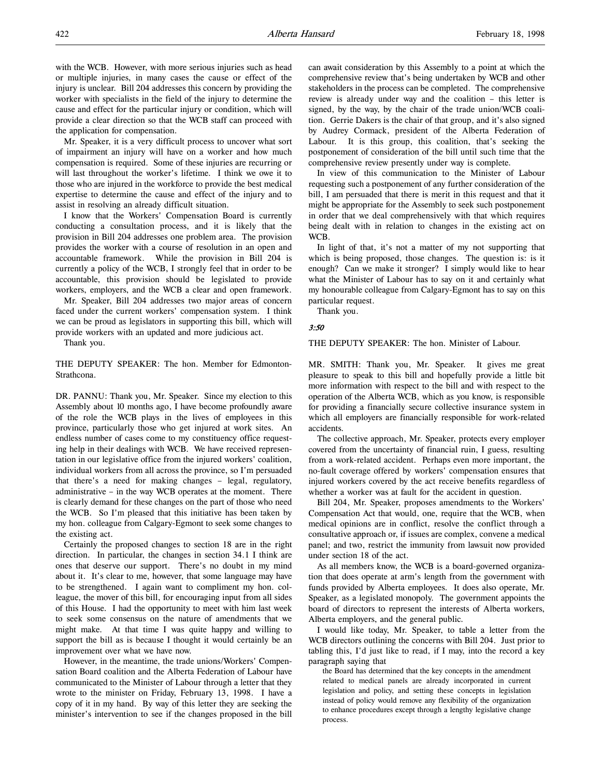with the WCB. However, with more serious injuries such as head or multiple injuries, in many cases the cause or effect of the injury is unclear. Bill 204 addresses this concern by providing the worker with specialists in the field of the injury to determine the cause and effect for the particular injury or condition, which will provide a clear direction so that the WCB staff can proceed with the application for compensation.

Mr. Speaker, it is a very difficult process to uncover what sort of impairment an injury will have on a worker and how much compensation is required. Some of these injuries are recurring or will last throughout the worker's lifetime. I think we owe it to those who are injured in the workforce to provide the best medical expertise to determine the cause and effect of the injury and to assist in resolving an already difficult situation.

I know that the Workers' Compensation Board is currently conducting a consultation process, and it is likely that the provision in Bill 204 addresses one problem area. The provision provides the worker with a course of resolution in an open and accountable framework. While the provision in Bill 204 is currently a policy of the WCB, I strongly feel that in order to be accountable, this provision should be legislated to provide workers, employers, and the WCB a clear and open framework.

Mr. Speaker, Bill 204 addresses two major areas of concern faced under the current workers' compensation system. I think we can be proud as legislators in supporting this bill, which will provide workers with an updated and more judicious act.

Thank you.

THE DEPUTY SPEAKER: The hon. Member for Edmonton-Strathcona.

DR. PANNU: Thank you, Mr. Speaker. Since my election to this Assembly about 10 months ago, I have become profoundly aware of the role the WCB plays in the lives of employees in this province, particularly those who get injured at work sites. An endless number of cases come to my constituency office requesting help in their dealings with WCB. We have received representation in our legislative office from the injured workers' coalition, individual workers from all across the province, so I'm persuaded that there's a need for making changes – legal, regulatory, administrative – in the way WCB operates at the moment. There is clearly demand for these changes on the part of those who need the WCB. So I'm pleased that this initiative has been taken by my hon. colleague from Calgary-Egmont to seek some changes to the existing act.

Certainly the proposed changes to section 18 are in the right direction. In particular, the changes in section 34.1 I think are ones that deserve our support. There's no doubt in my mind about it. It's clear to me, however, that some language may have to be strengthened. I again want to compliment my hon. colleague, the mover of this bill, for encouraging input from all sides of this House. I had the opportunity to meet with him last week to seek some consensus on the nature of amendments that we might make. At that time I was quite happy and willing to support the bill as is because I thought it would certainly be an improvement over what we have now.

However, in the meantime, the trade unions/Workers' Compensation Board coalition and the Alberta Federation of Labour have communicated to the Minister of Labour through a letter that they wrote to the minister on Friday, February 13, 1998. I have a copy of it in my hand. By way of this letter they are seeking the minister's intervention to see if the changes proposed in the bill can await consideration by this Assembly to a point at which the comprehensive review that's being undertaken by WCB and other stakeholders in the process can be completed. The comprehensive review is already under way and the coalition – this letter is signed, by the way, by the chair of the trade union/WCB coalition. Gerrie Dakers is the chair of that group, and it's also signed by Audrey Cormack, president of the Alberta Federation of Labour. It is this group, this coalition, that's seeking the postponement of consideration of the bill until such time that the comprehensive review presently under way is complete.

In view of this communication to the Minister of Labour requesting such a postponement of any further consideration of the bill, I am persuaded that there is merit in this request and that it might be appropriate for the Assembly to seek such postponement in order that we deal comprehensively with that which requires being dealt with in relation to changes in the existing act on WCB.

In light of that, it's not a matter of my not supporting that which is being proposed, those changes. The question is: is it enough? Can we make it stronger? I simply would like to hear what the Minister of Labour has to say on it and certainly what my honourable colleague from Calgary-Egmont has to say on this particular request.

Thank you.

#### 3:50

THE DEPUTY SPEAKER: The hon. Minister of Labour.

MR. SMITH: Thank you, Mr. Speaker. It gives me great pleasure to speak to this bill and hopefully provide a little bit more information with respect to the bill and with respect to the operation of the Alberta WCB, which as you know, is responsible for providing a financially secure collective insurance system in which all employers are financially responsible for work-related accidents.

The collective approach, Mr. Speaker, protects every employer covered from the uncertainty of financial ruin, I guess, resulting from a work-related accident. Perhaps even more important, the no-fault coverage offered by workers' compensation ensures that injured workers covered by the act receive benefits regardless of whether a worker was at fault for the accident in question.

Bill 204, Mr. Speaker, proposes amendments to the Workers' Compensation Act that would, one, require that the WCB, when medical opinions are in conflict, resolve the conflict through a consultative approach or, if issues are complex, convene a medical panel; and two, restrict the immunity from lawsuit now provided under section 18 of the act.

As all members know, the WCB is a board-governed organization that does operate at arm's length from the government with funds provided by Alberta employees. It does also operate, Mr. Speaker, as a legislated monopoly. The government appoints the board of directors to represent the interests of Alberta workers, Alberta employers, and the general public.

I would like today, Mr. Speaker, to table a letter from the WCB directors outlining the concerns with Bill 204. Just prior to tabling this, I'd just like to read, if I may, into the record a key paragraph saying that

the Board has determined that the key concepts in the amendment related to medical panels are already incorporated in current legislation and policy, and setting these concepts in legislation instead of policy would remove any flexibility of the organization to enhance procedures except through a lengthy legislative change process.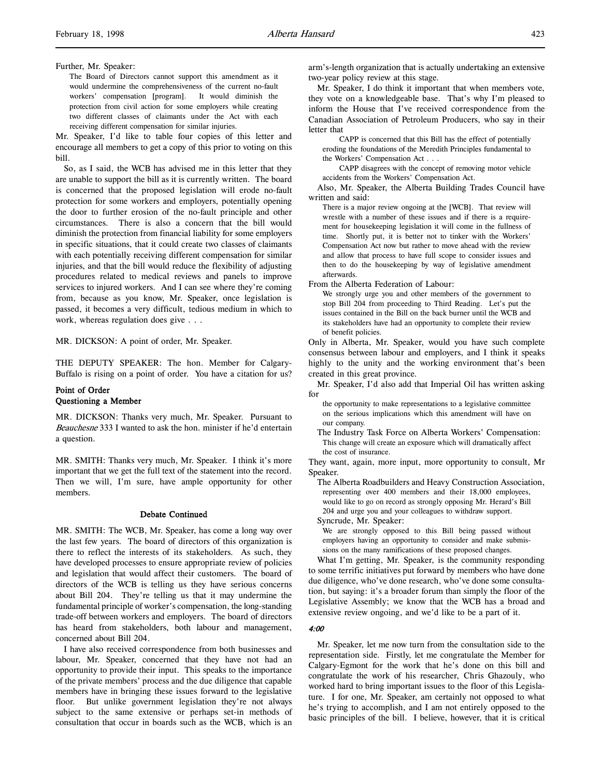#### Further, Mr. Speaker:

The Board of Directors cannot support this amendment as it would undermine the comprehensiveness of the current no-fault workers' compensation [program]. It would diminish the protection from civil action for some employers while creating two different classes of claimants under the Act with each receiving different compensation for similar injuries.

Mr. Speaker, I'd like to table four copies of this letter and encourage all members to get a copy of this prior to voting on this bill.

So, as I said, the WCB has advised me in this letter that they are unable to support the bill as it is currently written. The board is concerned that the proposed legislation will erode no-fault protection for some workers and employers, potentially opening the door to further erosion of the no-fault principle and other circumstances. There is also a concern that the bill would diminish the protection from financial liability for some employers in specific situations, that it could create two classes of claimants with each potentially receiving different compensation for similar injuries, and that the bill would reduce the flexibility of adjusting procedures related to medical reviews and panels to improve services to injured workers. And I can see where they're coming from, because as you know, Mr. Speaker, once legislation is passed, it becomes a very difficult, tedious medium in which to work, whereas regulation does give . . .

MR. DICKSON: A point of order, Mr. Speaker.

THE DEPUTY SPEAKER: The hon. Member for Calgary-Buffalo is rising on a point of order. You have a citation for us?

# Point of Order Questioning a Member

MR. DICKSON: Thanks very much, Mr. Speaker. Pursuant to Beauchesne 333 I wanted to ask the hon. minister if he'd entertain a question.

MR. SMITH: Thanks very much, Mr. Speaker. I think it's more important that we get the full text of the statement into the record. Then we will, I'm sure, have ample opportunity for other members.

## Debate Continued

MR. SMITH: The WCB, Mr. Speaker, has come a long way over the last few years. The board of directors of this organization is there to reflect the interests of its stakeholders. As such, they have developed processes to ensure appropriate review of policies and legislation that would affect their customers. The board of directors of the WCB is telling us they have serious concerns about Bill 204. They're telling us that it may undermine the fundamental principle of worker's compensation, the long-standing trade-off between workers and employers. The board of directors has heard from stakeholders, both labour and management, concerned about Bill 204.

I have also received correspondence from both businesses and labour, Mr. Speaker, concerned that they have not had an opportunity to provide their input. This speaks to the importance of the private members' process and the due diligence that capable members have in bringing these issues forward to the legislative floor. But unlike government legislation they're not always subject to the same extensive or perhaps set-in methods of consultation that occur in boards such as the WCB, which is an

arm's-length organization that is actually undertaking an extensive two-year policy review at this stage.

Mr. Speaker, I do think it important that when members vote, they vote on a knowledgeable base. That's why I'm pleased to inform the House that I've received correspondence from the Canadian Association of Petroleum Producers, who say in their letter that

CAPP is concerned that this Bill has the effect of potentially eroding the foundations of the Meredith Principles fundamental to the Workers' Compensation Act . . .

CAPP disagrees with the concept of removing motor vehicle accidents from the Workers' Compensation Act.

Also, Mr. Speaker, the Alberta Building Trades Council have written and said:

There is a major review ongoing at the [WCB]. That review will wrestle with a number of these issues and if there is a requirement for housekeeping legislation it will come in the fullness of time. Shortly put, it is better not to tinker with the Workers' Compensation Act now but rather to move ahead with the review and allow that process to have full scope to consider issues and then to do the housekeeping by way of legislative amendment afterwards.

From the Alberta Federation of Labour:

We strongly urge you and other members of the government to stop Bill 204 from proceeding to Third Reading. Let's put the issues contained in the Bill on the back burner until the WCB and its stakeholders have had an opportunity to complete their review of benefit policies.

Only in Alberta, Mr. Speaker, would you have such complete consensus between labour and employers, and I think it speaks highly to the unity and the working environment that's been created in this great province.

Mr. Speaker, I'd also add that Imperial Oil has written asking for

the opportunity to make representations to a legislative committee on the serious implications which this amendment will have on our company.

The Industry Task Force on Alberta Workers' Compensation: This change will create an exposure which will dramatically affect the cost of insurance.

They want, again, more input, more opportunity to consult, Mr Speaker.

The Alberta Roadbuilders and Heavy Construction Association, representing over 400 members and their 18,000 employees, would like to go on record as strongly opposing Mr. Herard's Bill 204 and urge you and your colleagues to withdraw support. Syncrude, Mr. Speaker:

We are strongly opposed to this Bill being passed without employers having an opportunity to consider and make submissions on the many ramifications of these proposed changes.

What I'm getting, Mr. Speaker, is the community responding to some terrific initiatives put forward by members who have done due diligence, who've done research, who've done some consultation, but saying: it's a broader forum than simply the floor of the Legislative Assembly; we know that the WCB has a broad and extensive review ongoing, and we'd like to be a part of it.

#### 4:00

Mr. Speaker, let me now turn from the consultation side to the representation side. Firstly, let me congratulate the Member for Calgary-Egmont for the work that he's done on this bill and congratulate the work of his researcher, Chris Ghazouly, who worked hard to bring important issues to the floor of this Legislature. I for one, Mr. Speaker, am certainly not opposed to what he's trying to accomplish, and I am not entirely opposed to the basic principles of the bill. I believe, however, that it is critical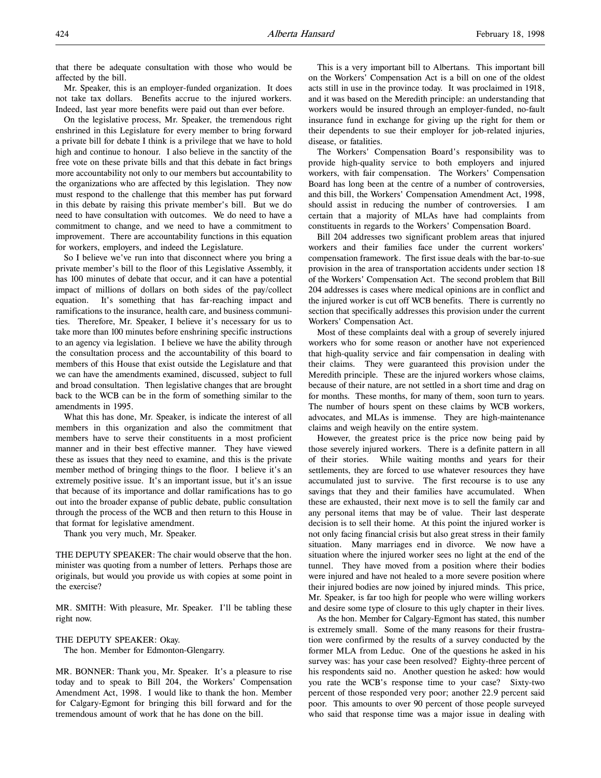that there be adequate consultation with those who would be affected by the bill.

Mr. Speaker, this is an employer-funded organization. It does not take tax dollars. Benefits accrue to the injured workers. Indeed, last year more benefits were paid out than ever before.

On the legislative process, Mr. Speaker, the tremendous right enshrined in this Legislature for every member to bring forward a private bill for debate I think is a privilege that we have to hold high and continue to honour. I also believe in the sanctity of the free vote on these private bills and that this debate in fact brings more accountability not only to our members but accountability to the organizations who are affected by this legislation. They now must respond to the challenge that this member has put forward in this debate by raising this private member's bill. But we do need to have consultation with outcomes. We do need to have a commitment to change, and we need to have a commitment to improvement. There are accountability functions in this equation for workers, employers, and indeed the Legislature.

So I believe we've run into that disconnect where you bring a private member's bill to the floor of this Legislative Assembly, it has 100 minutes of debate that occur, and it can have a potential impact of millions of dollars on both sides of the pay/collect equation. It's something that has far-reaching impact and ramifications to the insurance, health care, and business communities. Therefore, Mr. Speaker, I believe it's necessary for us to take more than 100 minutes before enshrining specific instructions to an agency via legislation. I believe we have the ability through the consultation process and the accountability of this board to members of this House that exist outside the Legislature and that we can have the amendments examined, discussed, subject to full and broad consultation. Then legislative changes that are brought back to the WCB can be in the form of something similar to the amendments in 1995.

What this has done, Mr. Speaker, is indicate the interest of all members in this organization and also the commitment that members have to serve their constituents in a most proficient manner and in their best effective manner. They have viewed these as issues that they need to examine, and this is the private member method of bringing things to the floor. I believe it's an extremely positive issue. It's an important issue, but it's an issue that because of its importance and dollar ramifications has to go out into the broader expanse of public debate, public consultation through the process of the WCB and then return to this House in that format for legislative amendment.

Thank you very much, Mr. Speaker.

THE DEPUTY SPEAKER: The chair would observe that the hon. minister was quoting from a number of letters. Perhaps those are originals, but would you provide us with copies at some point in the exercise?

MR. SMITH: With pleasure, Mr. Speaker. I'll be tabling these right now.

THE DEPUTY SPEAKER: Okay.

The hon. Member for Edmonton-Glengarry.

MR. BONNER: Thank you, Mr. Speaker. It's a pleasure to rise today and to speak to Bill 204, the Workers' Compensation Amendment Act, 1998. I would like to thank the hon. Member for Calgary-Egmont for bringing this bill forward and for the tremendous amount of work that he has done on the bill.

This is a very important bill to Albertans. This important bill on the Workers' Compensation Act is a bill on one of the oldest acts still in use in the province today. It was proclaimed in 1918, and it was based on the Meredith principle: an understanding that workers would be insured through an employer-funded, no-fault insurance fund in exchange for giving up the right for them or their dependents to sue their employer for job-related injuries, disease, or fatalities.

The Workers' Compensation Board's responsibility was to provide high-quality service to both employers and injured workers, with fair compensation. The Workers' Compensation Board has long been at the centre of a number of controversies, and this bill, the Workers' Compensation Amendment Act, 1998, should assist in reducing the number of controversies. I am certain that a majority of MLAs have had complaints from constituents in regards to the Workers' Compensation Board.

Bill 204 addresses two significant problem areas that injured workers and their families face under the current workers' compensation framework. The first issue deals with the bar-to-sue provision in the area of transportation accidents under section 18 of the Workers' Compensation Act. The second problem that Bill 204 addresses is cases where medical opinions are in conflict and the injured worker is cut off WCB benefits. There is currently no section that specifically addresses this provision under the current Workers' Compensation Act.

Most of these complaints deal with a group of severely injured workers who for some reason or another have not experienced that high-quality service and fair compensation in dealing with their claims. They were guaranteed this provision under the Meredith principle. These are the injured workers whose claims, because of their nature, are not settled in a short time and drag on for months. These months, for many of them, soon turn to years. The number of hours spent on these claims by WCB workers, advocates, and MLAs is immense. They are high-maintenance claims and weigh heavily on the entire system.

However, the greatest price is the price now being paid by those severely injured workers. There is a definite pattern in all of their stories. While waiting months and years for their settlements, they are forced to use whatever resources they have accumulated just to survive. The first recourse is to use any savings that they and their families have accumulated. When these are exhausted, their next move is to sell the family car and any personal items that may be of value. Their last desperate decision is to sell their home. At this point the injured worker is not only facing financial crisis but also great stress in their family situation. Many marriages end in divorce. We now have a situation where the injured worker sees no light at the end of the tunnel. They have moved from a position where their bodies were injured and have not healed to a more severe position where their injured bodies are now joined by injured minds. This price, Mr. Speaker, is far too high for people who were willing workers and desire some type of closure to this ugly chapter in their lives.

As the hon. Member for Calgary-Egmont has stated, this number is extremely small. Some of the many reasons for their frustration were confirmed by the results of a survey conducted by the former MLA from Leduc. One of the questions he asked in his survey was: has your case been resolved? Eighty-three percent of his respondents said no. Another question he asked: how would you rate the WCB's response time to your case? Sixty-two percent of those responded very poor; another 22.9 percent said poor. This amounts to over 90 percent of those people surveyed who said that response time was a major issue in dealing with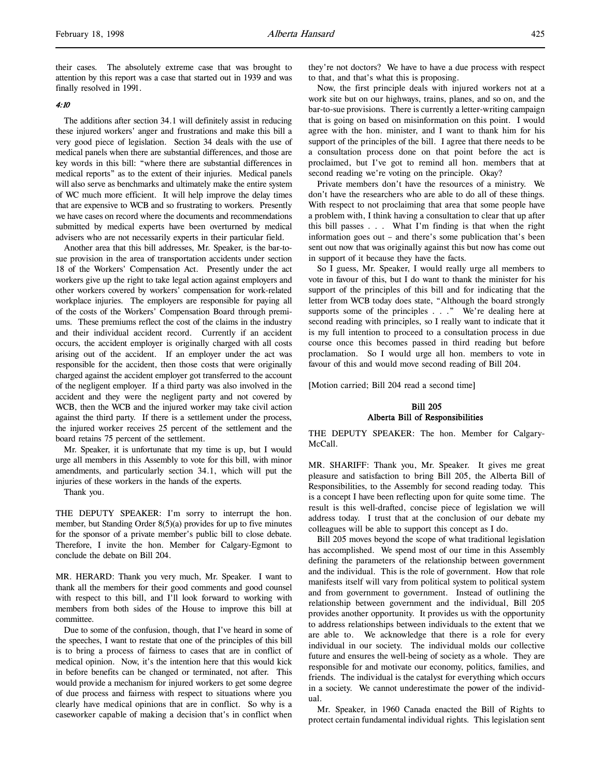their cases. The absolutely extreme case that was brought to attention by this report was a case that started out in 1939 and was finally resolved in 1991.

# 4:10

The additions after section 34.1 will definitely assist in reducing these injured workers' anger and frustrations and make this bill a very good piece of legislation. Section 34 deals with the use of medical panels when there are substantial differences, and those are key words in this bill: "where there are substantial differences in medical reports" as to the extent of their injuries. Medical panels will also serve as benchmarks and ultimately make the entire system of WC much more efficient. It will help improve the delay times that are expensive to WCB and so frustrating to workers. Presently we have cases on record where the documents and recommendations submitted by medical experts have been overturned by medical advisers who are not necessarily experts in their particular field.

Another area that this bill addresses, Mr. Speaker, is the bar-tosue provision in the area of transportation accidents under section 18 of the Workers' Compensation Act. Presently under the act workers give up the right to take legal action against employers and other workers covered by workers' compensation for work-related workplace injuries. The employers are responsible for paying all of the costs of the Workers' Compensation Board through premiums. These premiums reflect the cost of the claims in the industry and their individual accident record. Currently if an accident occurs, the accident employer is originally charged with all costs arising out of the accident. If an employer under the act was responsible for the accident, then those costs that were originally charged against the accident employer got transferred to the account of the negligent employer. If a third party was also involved in the accident and they were the negligent party and not covered by WCB, then the WCB and the injured worker may take civil action against the third party. If there is a settlement under the process, the injured worker receives 25 percent of the settlement and the board retains 75 percent of the settlement.

Mr. Speaker, it is unfortunate that my time is up, but I would urge all members in this Assembly to vote for this bill, with minor amendments, and particularly section 34.1, which will put the injuries of these workers in the hands of the experts.

Thank you.

THE DEPUTY SPEAKER: I'm sorry to interrupt the hon. member, but Standing Order 8(5)(a) provides for up to five minutes for the sponsor of a private member's public bill to close debate. Therefore, I invite the hon. Member for Calgary-Egmont to conclude the debate on Bill 204.

MR. HERARD: Thank you very much, Mr. Speaker. I want to thank all the members for their good comments and good counsel with respect to this bill, and I'll look forward to working with members from both sides of the House to improve this bill at committee.

Due to some of the confusion, though, that I've heard in some of the speeches, I want to restate that one of the principles of this bill is to bring a process of fairness to cases that are in conflict of medical opinion. Now, it's the intention here that this would kick in before benefits can be changed or terminated, not after. This would provide a mechanism for injured workers to get some degree of due process and fairness with respect to situations where you clearly have medical opinions that are in conflict. So why is a caseworker capable of making a decision that's in conflict when

they're not doctors? We have to have a due process with respect to that, and that's what this is proposing.

Now, the first principle deals with injured workers not at a work site but on our highways, trains, planes, and so on, and the bar-to-sue provisions. There is currently a letter-writing campaign that is going on based on misinformation on this point. I would agree with the hon. minister, and I want to thank him for his support of the principles of the bill. I agree that there needs to be a consultation process done on that point before the act is proclaimed, but I've got to remind all hon. members that at second reading we're voting on the principle. Okay?

Private members don't have the resources of a ministry. We don't have the researchers who are able to do all of these things. With respect to not proclaiming that area that some people have a problem with, I think having a consultation to clear that up after this bill passes . . . What I'm finding is that when the right information goes out – and there's some publication that's been sent out now that was originally against this but now has come out in support of it because they have the facts.

So I guess, Mr. Speaker, I would really urge all members to vote in favour of this, but I do want to thank the minister for his support of the principles of this bill and for indicating that the letter from WCB today does state, "Although the board strongly supports some of the principles . . ." We're dealing here at second reading with principles, so I really want to indicate that it is my full intention to proceed to a consultation process in due course once this becomes passed in third reading but before proclamation. So I would urge all hon. members to vote in favour of this and would move second reading of Bill 204.

[Motion carried; Bill 204 read a second time]

# Bill 205 Alberta Bill of Responsibilities

THE DEPUTY SPEAKER: The hon. Member for Calgary-McCall.

MR. SHARIFF: Thank you, Mr. Speaker. It gives me great pleasure and satisfaction to bring Bill 205, the Alberta Bill of Responsibilities, to the Assembly for second reading today. This is a concept I have been reflecting upon for quite some time. The result is this well-drafted, concise piece of legislation we will address today. I trust that at the conclusion of our debate my colleagues will be able to support this concept as I do.

Bill 205 moves beyond the scope of what traditional legislation has accomplished. We spend most of our time in this Assembly defining the parameters of the relationship between government and the individual. This is the role of government. How that role manifests itself will vary from political system to political system and from government to government. Instead of outlining the relationship between government and the individual, Bill 205 provides another opportunity. It provides us with the opportunity to address relationships between individuals to the extent that we are able to. We acknowledge that there is a role for every individual in our society. The individual molds our collective future and ensures the well-being of society as a whole. They are responsible for and motivate our economy, politics, families, and friends. The individual is the catalyst for everything which occurs in a society. We cannot underestimate the power of the individual.

Mr. Speaker, in 1960 Canada enacted the Bill of Rights to protect certain fundamental individual rights. This legislation sent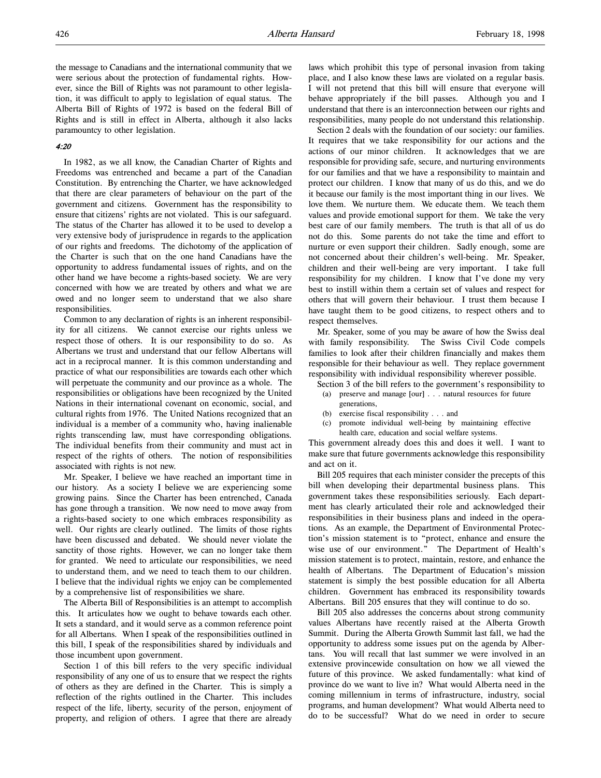the message to Canadians and the international community that we were serious about the protection of fundamental rights. However, since the Bill of Rights was not paramount to other legislation, it was difficult to apply to legislation of equal status. The Alberta Bill of Rights of 1972 is based on the federal Bill of Rights and is still in effect in Alberta, although it also lacks paramountcy to other legislation.

# 4:20

In 1982, as we all know, the Canadian Charter of Rights and Freedoms was entrenched and became a part of the Canadian Constitution. By entrenching the Charter, we have acknowledged that there are clear parameters of behaviour on the part of the government and citizens. Government has the responsibility to ensure that citizens' rights are not violated. This is our safeguard. The status of the Charter has allowed it to be used to develop a very extensive body of jurisprudence in regards to the application of our rights and freedoms. The dichotomy of the application of the Charter is such that on the one hand Canadians have the opportunity to address fundamental issues of rights, and on the other hand we have become a rights-based society. We are very concerned with how we are treated by others and what we are owed and no longer seem to understand that we also share responsibilities.

Common to any declaration of rights is an inherent responsibility for all citizens. We cannot exercise our rights unless we respect those of others. It is our responsibility to do so. As Albertans we trust and understand that our fellow Albertans will act in a reciprocal manner. It is this common understanding and practice of what our responsibilities are towards each other which will perpetuate the community and our province as a whole. The responsibilities or obligations have been recognized by the United Nations in their international covenant on economic, social, and cultural rights from 1976. The United Nations recognized that an individual is a member of a community who, having inalienable rights transcending law, must have corresponding obligations. The individual benefits from their community and must act in respect of the rights of others. The notion of responsibilities associated with rights is not new.

Mr. Speaker, I believe we have reached an important time in our history. As a society I believe we are experiencing some growing pains. Since the Charter has been entrenched, Canada has gone through a transition. We now need to move away from a rights-based society to one which embraces responsibility as well. Our rights are clearly outlined. The limits of those rights have been discussed and debated. We should never violate the sanctity of those rights. However, we can no longer take them for granted. We need to articulate our responsibilities, we need to understand them, and we need to teach them to our children. I believe that the individual rights we enjoy can be complemented by a comprehensive list of responsibilities we share.

The Alberta Bill of Responsibilities is an attempt to accomplish this. It articulates how we ought to behave towards each other. It sets a standard, and it would serve as a common reference point for all Albertans. When I speak of the responsibilities outlined in this bill, I speak of the responsibilities shared by individuals and those incumbent upon government.

Section 1 of this bill refers to the very specific individual responsibility of any one of us to ensure that we respect the rights of others as they are defined in the Charter. This is simply a reflection of the rights outlined in the Charter. This includes respect of the life, liberty, security of the person, enjoyment of property, and religion of others. I agree that there are already

laws which prohibit this type of personal invasion from taking place, and I also know these laws are violated on a regular basis. I will not pretend that this bill will ensure that everyone will behave appropriately if the bill passes. Although you and I understand that there is an interconnection between our rights and responsibilities, many people do not understand this relationship.

Section 2 deals with the foundation of our society: our families. It requires that we take responsibility for our actions and the actions of our minor children. It acknowledges that we are responsible for providing safe, secure, and nurturing environments for our families and that we have a responsibility to maintain and protect our children. I know that many of us do this, and we do it because our family is the most important thing in our lives. We love them. We nurture them. We educate them. We teach them values and provide emotional support for them. We take the very best care of our family members. The truth is that all of us do not do this. Some parents do not take the time and effort to nurture or even support their children. Sadly enough, some are not concerned about their children's well-being. Mr. Speaker, children and their well-being are very important. I take full responsibility for my children. I know that I've done my very best to instill within them a certain set of values and respect for others that will govern their behaviour. I trust them because I have taught them to be good citizens, to respect others and to respect themselves.

Mr. Speaker, some of you may be aware of how the Swiss deal with family responsibility. The Swiss Civil Code compels families to look after their children financially and makes them responsible for their behaviour as well. They replace government responsibility with individual responsibility wherever possible.

Section 3 of the bill refers to the government's responsibility to

- (a) preserve and manage [our] . . . natural resources for future generations,
- (b) exercise fiscal responsibility . . . and
- (c) promote individual well-being by maintaining effective health care, education and social welfare systems.

This government already does this and does it well. I want to make sure that future governments acknowledge this responsibility and act on it.

Bill 205 requires that each minister consider the precepts of this bill when developing their departmental business plans. This government takes these responsibilities seriously. Each department has clearly articulated their role and acknowledged their responsibilities in their business plans and indeed in the operations. As an example, the Department of Environmental Protection's mission statement is to "protect, enhance and ensure the wise use of our environment." The Department of Health's mission statement is to protect, maintain, restore, and enhance the health of Albertans. The Department of Education's mission statement is simply the best possible education for all Alberta children. Government has embraced its responsibility towards Albertans. Bill 205 ensures that they will continue to do so.

Bill 205 also addresses the concerns about strong community values Albertans have recently raised at the Alberta Growth Summit. During the Alberta Growth Summit last fall, we had the opportunity to address some issues put on the agenda by Albertans. You will recall that last summer we were involved in an extensive provincewide consultation on how we all viewed the future of this province. We asked fundamentally: what kind of province do we want to live in? What would Alberta need in the coming millennium in terms of infrastructure, industry, social programs, and human development? What would Alberta need to do to be successful? What do we need in order to secure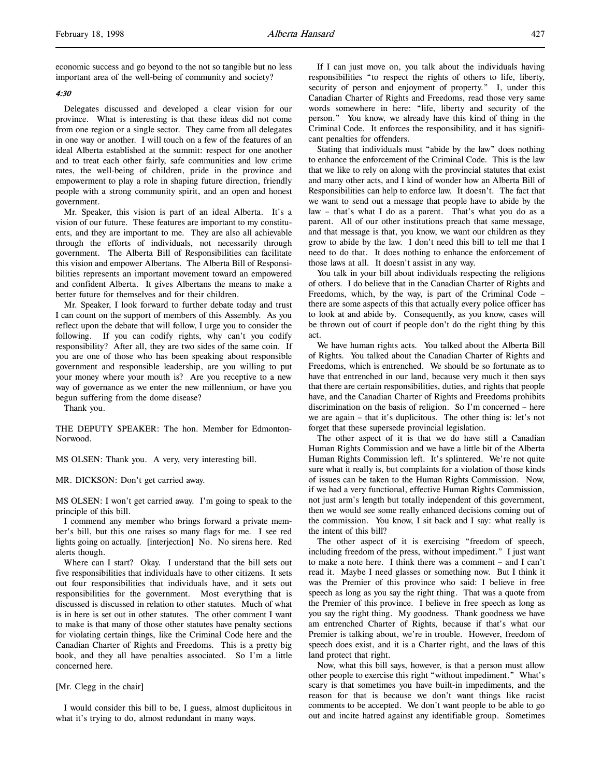economic success and go beyond to the not so tangible but no less important area of the well-being of community and society?

#### 4:30

Delegates discussed and developed a clear vision for our province. What is interesting is that these ideas did not come from one region or a single sector. They came from all delegates in one way or another. I will touch on a few of the features of an ideal Alberta established at the summit: respect for one another and to treat each other fairly, safe communities and low crime rates, the well-being of children, pride in the province and empowerment to play a role in shaping future direction, friendly people with a strong community spirit, and an open and honest government.

Mr. Speaker, this vision is part of an ideal Alberta. It's a vision of our future. These features are important to my constituents, and they are important to me. They are also all achievable through the efforts of individuals, not necessarily through government. The Alberta Bill of Responsibilities can facilitate this vision and empower Albertans. The Alberta Bill of Responsibilities represents an important movement toward an empowered and confident Alberta. It gives Albertans the means to make a better future for themselves and for their children.

Mr. Speaker, I look forward to further debate today and trust I can count on the support of members of this Assembly. As you reflect upon the debate that will follow, I urge you to consider the following. If you can codify rights, why can't you codify responsibility? After all, they are two sides of the same coin. If you are one of those who has been speaking about responsible government and responsible leadership, are you willing to put your money where your mouth is? Are you receptive to a new way of governance as we enter the new millennium, or have you begun suffering from the dome disease?

Thank you.

THE DEPUTY SPEAKER: The hon. Member for Edmonton-Norwood.

MS OLSEN: Thank you. A very, very interesting bill.

#### MR. DICKSON: Don't get carried away.

MS OLSEN: I won't get carried away. I'm going to speak to the principle of this bill.

I commend any member who brings forward a private member's bill, but this one raises so many flags for me. I see red lights going on actually. [interjection] No. No sirens here. Red alerts though.

Where can I start? Okay. I understand that the bill sets out five responsibilities that individuals have to other citizens. It sets out four responsibilities that individuals have, and it sets out responsibilities for the government. Most everything that is discussed is discussed in relation to other statutes. Much of what is in here is set out in other statutes. The other comment I want to make is that many of those other statutes have penalty sections for violating certain things, like the Criminal Code here and the Canadian Charter of Rights and Freedoms. This is a pretty big book, and they all have penalties associated. So I'm a little concerned here.

#### [Mr. Clegg in the chair]

I would consider this bill to be, I guess, almost duplicitous in what it's trying to do, almost redundant in many ways.

If I can just move on, you talk about the individuals having responsibilities "to respect the rights of others to life, liberty, security of person and enjoyment of property." I, under this Canadian Charter of Rights and Freedoms, read those very same words somewhere in here: "life, liberty and security of the person." You know, we already have this kind of thing in the Criminal Code. It enforces the responsibility, and it has significant penalties for offenders.

Stating that individuals must "abide by the law" does nothing to enhance the enforcement of the Criminal Code. This is the law that we like to rely on along with the provincial statutes that exist and many other acts, and I kind of wonder how an Alberta Bill of Responsibilities can help to enforce law. It doesn't. The fact that we want to send out a message that people have to abide by the law – that's what I do as a parent. That's what you do as a parent. All of our other institutions preach that same message, and that message is that, you know, we want our children as they grow to abide by the law. I don't need this bill to tell me that I need to do that. It does nothing to enhance the enforcement of those laws at all. It doesn't assist in any way.

You talk in your bill about individuals respecting the religions of others. I do believe that in the Canadian Charter of Rights and Freedoms, which, by the way, is part of the Criminal Code – there are some aspects of this that actually every police officer has to look at and abide by. Consequently, as you know, cases will be thrown out of court if people don't do the right thing by this act.

We have human rights acts. You talked about the Alberta Bill of Rights. You talked about the Canadian Charter of Rights and Freedoms, which is entrenched. We should be so fortunate as to have that entrenched in our land, because very much it then says that there are certain responsibilities, duties, and rights that people have, and the Canadian Charter of Rights and Freedoms prohibits discrimination on the basis of religion. So I'm concerned – here we are again – that it's duplicitous. The other thing is: let's not forget that these supersede provincial legislation.

The other aspect of it is that we do have still a Canadian Human Rights Commission and we have a little bit of the Alberta Human Rights Commission left. It's splintered. We're not quite sure what it really is, but complaints for a violation of those kinds of issues can be taken to the Human Rights Commission. Now, if we had a very functional, effective Human Rights Commission, not just arm's length but totally independent of this government, then we would see some really enhanced decisions coming out of the commission. You know, I sit back and I say: what really is the intent of this bill?

The other aspect of it is exercising "freedom of speech, including freedom of the press, without impediment." I just want to make a note here. I think there was a comment – and I can't read it. Maybe I need glasses or something now. But I think it was the Premier of this province who said: I believe in free speech as long as you say the right thing. That was a quote from the Premier of this province. I believe in free speech as long as you say the right thing. My goodness. Thank goodness we have am entrenched Charter of Rights, because if that's what our Premier is talking about, we're in trouble. However, freedom of speech does exist, and it is a Charter right, and the laws of this land protect that right.

Now, what this bill says, however, is that a person must allow other people to exercise this right "without impediment." What's scary is that sometimes you have built-in impediments, and the reason for that is because we don't want things like racist comments to be accepted. We don't want people to be able to go out and incite hatred against any identifiable group. Sometimes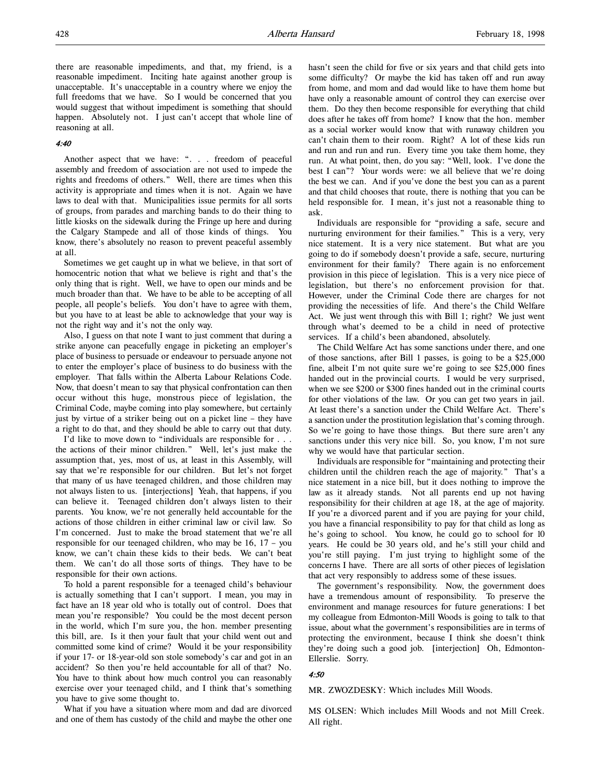there are reasonable impediments, and that, my friend, is a reasonable impediment. Inciting hate against another group is unacceptable. It's unacceptable in a country where we enjoy the full freedoms that we have. So I would be concerned that you would suggest that without impediment is something that should happen. Absolutely not. I just can't accept that whole line of reasoning at all.

# 4:40

Another aspect that we have: ". . . freedom of peaceful assembly and freedom of association are not used to impede the rights and freedoms of others." Well, there are times when this activity is appropriate and times when it is not. Again we have laws to deal with that. Municipalities issue permits for all sorts of groups, from parades and marching bands to do their thing to little kiosks on the sidewalk during the Fringe up here and during the Calgary Stampede and all of those kinds of things. You know, there's absolutely no reason to prevent peaceful assembly at all.

Sometimes we get caught up in what we believe, in that sort of homocentric notion that what we believe is right and that's the only thing that is right. Well, we have to open our minds and be much broader than that. We have to be able to be accepting of all people, all people's beliefs. You don't have to agree with them, but you have to at least be able to acknowledge that your way is not the right way and it's not the only way.

Also, I guess on that note I want to just comment that during a strike anyone can peacefully engage in picketing an employer's place of business to persuade or endeavour to persuade anyone not to enter the employer's place of business to do business with the employer. That falls within the Alberta Labour Relations Code. Now, that doesn't mean to say that physical confrontation can then occur without this huge, monstrous piece of legislation, the Criminal Code, maybe coming into play somewhere, but certainly just by virtue of a striker being out on a picket line – they have a right to do that, and they should be able to carry out that duty.

I'd like to move down to "individuals are responsible for . . . the actions of their minor children." Well, let's just make the assumption that, yes, most of us, at least in this Assembly, will say that we're responsible for our children. But let's not forget that many of us have teenaged children, and those children may not always listen to us. [interjections] Yeah, that happens, if you can believe it. Teenaged children don't always listen to their parents. You know, we're not generally held accountable for the actions of those children in either criminal law or civil law. So I'm concerned. Just to make the broad statement that we're all responsible for our teenaged children, who may be 16, 17 – you know, we can't chain these kids to their beds. We can't beat them. We can't do all those sorts of things. They have to be responsible for their own actions.

To hold a parent responsible for a teenaged child's behaviour is actually something that I can't support. I mean, you may in fact have an 18 year old who is totally out of control. Does that mean you're responsible? You could be the most decent person in the world, which I'm sure you, the hon. member presenting this bill, are. Is it then your fault that your child went out and committed some kind of crime? Would it be your responsibility if your 17- or 18-year-old son stole somebody's car and got in an accident? So then you're held accountable for all of that? No. You have to think about how much control you can reasonably exercise over your teenaged child, and I think that's something you have to give some thought to.

What if you have a situation where mom and dad are divorced and one of them has custody of the child and maybe the other one hasn't seen the child for five or six years and that child gets into some difficulty? Or maybe the kid has taken off and run away from home, and mom and dad would like to have them home but have only a reasonable amount of control they can exercise over them. Do they then become responsible for everything that child does after he takes off from home? I know that the hon. member as a social worker would know that with runaway children you can't chain them to their room. Right? A lot of these kids run and run and run and run. Every time you take them home, they run. At what point, then, do you say: "Well, look. I've done the best I can"? Your words were: we all believe that we're doing the best we can. And if you've done the best you can as a parent and that child chooses that route, there is nothing that you can be held responsible for. I mean, it's just not a reasonable thing to ask.

Individuals are responsible for "providing a safe, secure and nurturing environment for their families." This is a very, very nice statement. It is a very nice statement. But what are you going to do if somebody doesn't provide a safe, secure, nurturing environment for their family? There again is no enforcement provision in this piece of legislation. This is a very nice piece of legislation, but there's no enforcement provision for that. However, under the Criminal Code there are charges for not providing the necessities of life. And there's the Child Welfare Act. We just went through this with Bill 1; right? We just went through what's deemed to be a child in need of protective services. If a child's been abandoned, absolutely.

The Child Welfare Act has some sanctions under there, and one of those sanctions, after Bill 1 passes, is going to be a \$25,000 fine, albeit I'm not quite sure we're going to see \$25,000 fines handed out in the provincial courts. I would be very surprised, when we see \$200 or \$300 fines handed out in the criminal courts for other violations of the law. Or you can get two years in jail. At least there's a sanction under the Child Welfare Act. There's a sanction under the prostitution legislation that's coming through. So we're going to have those things. But there sure aren't any sanctions under this very nice bill. So, you know, I'm not sure why we would have that particular section.

Individuals are responsible for "maintaining and protecting their children until the children reach the age of majority." That's a nice statement in a nice bill, but it does nothing to improve the law as it already stands. Not all parents end up not having responsibility for their children at age 18, at the age of majority. If you're a divorced parent and if you are paying for your child, you have a financial responsibility to pay for that child as long as he's going to school. You know, he could go to school for 10 years. He could be 30 years old, and he's still your child and you're still paying. I'm just trying to highlight some of the concerns I have. There are all sorts of other pieces of legislation that act very responsibly to address some of these issues.

The government's responsibility. Now, the government does have a tremendous amount of responsibility. To preserve the environment and manage resources for future generations: I bet my colleague from Edmonton-Mill Woods is going to talk to that issue, about what the government's responsibilities are in terms of protecting the environment, because I think she doesn't think they're doing such a good job. [interjection] Oh, Edmonton-Ellerslie. Sorry.

# 4:50

MR. ZWOZDESKY: Which includes Mill Woods.

MS OLSEN: Which includes Mill Woods and not Mill Creek. All right.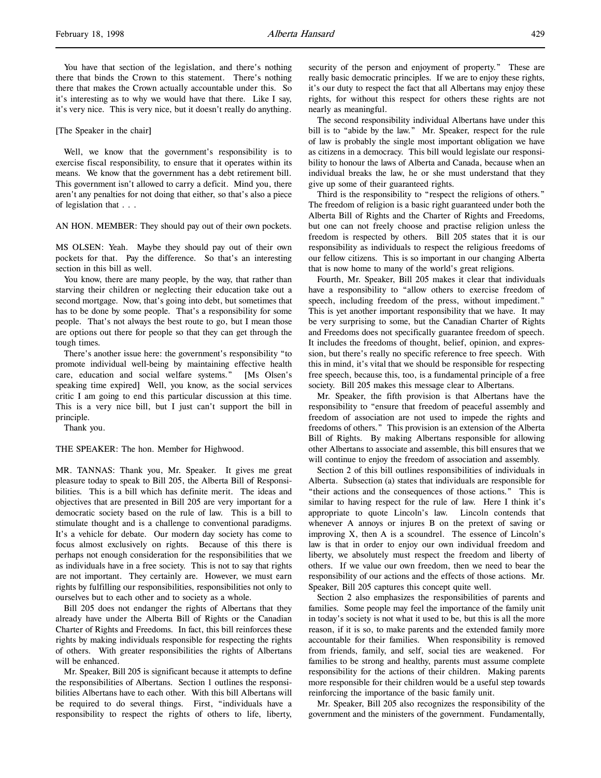You have that section of the legislation, and there's nothing there that binds the Crown to this statement. There's nothing there that makes the Crown actually accountable under this. So it's interesting as to why we would have that there. Like I say, it's very nice. This is very nice, but it doesn't really do anything.

#### [The Speaker in the chair]

Well, we know that the government's responsibility is to exercise fiscal responsibility, to ensure that it operates within its means. We know that the government has a debt retirement bill. This government isn't allowed to carry a deficit. Mind you, there aren't any penalties for not doing that either, so that's also a piece of legislation that . . .

AN HON. MEMBER: They should pay out of their own pockets.

MS OLSEN: Yeah. Maybe they should pay out of their own pockets for that. Pay the difference. So that's an interesting section in this bill as well.

You know, there are many people, by the way, that rather than starving their children or neglecting their education take out a second mortgage. Now, that's going into debt, but sometimes that has to be done by some people. That's a responsibility for some people. That's not always the best route to go, but I mean those are options out there for people so that they can get through the tough times.

There's another issue here: the government's responsibility "to promote individual well-being by maintaining effective health care, education and social welfare systems." [Ms Olsen's speaking time expired] Well, you know, as the social services critic I am going to end this particular discussion at this time. This is a very nice bill, but I just can't support the bill in principle.

Thank you.

#### THE SPEAKER: The hon. Member for Highwood.

MR. TANNAS: Thank you, Mr. Speaker. It gives me great pleasure today to speak to Bill 205, the Alberta Bill of Responsibilities. This is a bill which has definite merit. The ideas and objectives that are presented in Bill 205 are very important for a democratic society based on the rule of law. This is a bill to stimulate thought and is a challenge to conventional paradigms. It's a vehicle for debate. Our modern day society has come to focus almost exclusively on rights. Because of this there is perhaps not enough consideration for the responsibilities that we as individuals have in a free society. This is not to say that rights are not important. They certainly are. However, we must earn rights by fulfilling our responsibilities, responsibilities not only to ourselves but to each other and to society as a whole.

Bill 205 does not endanger the rights of Albertans that they already have under the Alberta Bill of Rights or the Canadian Charter of Rights and Freedoms. In fact, this bill reinforces these rights by making individuals responsible for respecting the rights of others. With greater responsibilities the rights of Albertans will be enhanced.

Mr. Speaker, Bill 205 is significant because it attempts to define the responsibilities of Albertans. Section 1 outlines the responsibilities Albertans have to each other. With this bill Albertans will be required to do several things. First, "individuals have a responsibility to respect the rights of others to life, liberty,

security of the person and enjoyment of property." These are really basic democratic principles. If we are to enjoy these rights, it's our duty to respect the fact that all Albertans may enjoy these rights, for without this respect for others these rights are not nearly as meaningful.

The second responsibility individual Albertans have under this bill is to "abide by the law." Mr. Speaker, respect for the rule of law is probably the single most important obligation we have as citizens in a democracy. This bill would legislate our responsibility to honour the laws of Alberta and Canada, because when an individual breaks the law, he or she must understand that they give up some of their guaranteed rights.

Third is the responsibility to "respect the religions of others." The freedom of religion is a basic right guaranteed under both the Alberta Bill of Rights and the Charter of Rights and Freedoms, but one can not freely choose and practise religion unless the freedom is respected by others. Bill 205 states that it is our responsibility as individuals to respect the religious freedoms of our fellow citizens. This is so important in our changing Alberta that is now home to many of the world's great religions.

Fourth, Mr. Speaker, Bill 205 makes it clear that individuals have a responsibility to "allow others to exercise freedom of speech, including freedom of the press, without impediment." This is yet another important responsibility that we have. It may be very surprising to some, but the Canadian Charter of Rights and Freedoms does not specifically guarantee freedom of speech. It includes the freedoms of thought, belief, opinion, and expression, but there's really no specific reference to free speech. With this in mind, it's vital that we should be responsible for respecting free speech, because this, too, is a fundamental principle of a free society. Bill 205 makes this message clear to Albertans.

Mr. Speaker, the fifth provision is that Albertans have the responsibility to "ensure that freedom of peaceful assembly and freedom of association are not used to impede the rights and freedoms of others." This provision is an extension of the Alberta Bill of Rights. By making Albertans responsible for allowing other Albertans to associate and assemble, this bill ensures that we will continue to enjoy the freedom of association and assembly.

Section 2 of this bill outlines responsibilities of individuals in Alberta. Subsection (a) states that individuals are responsible for "their actions and the consequences of those actions." This is similar to having respect for the rule of law. Here I think it's appropriate to quote Lincoln's law. Lincoln contends that whenever A annoys or injures B on the pretext of saving or improving X, then A is a scoundrel. The essence of Lincoln's law is that in order to enjoy our own individual freedom and liberty, we absolutely must respect the freedom and liberty of others. If we value our own freedom, then we need to bear the responsibility of our actions and the effects of those actions. Mr. Speaker, Bill 205 captures this concept quite well.

Section 2 also emphasizes the responsibilities of parents and families. Some people may feel the importance of the family unit in today's society is not what it used to be, but this is all the more reason, if it is so, to make parents and the extended family more accountable for their families. When responsibility is removed from friends, family, and self, social ties are weakened. For families to be strong and healthy, parents must assume complete responsibility for the actions of their children. Making parents more responsible for their children would be a useful step towards reinforcing the importance of the basic family unit.

Mr. Speaker, Bill 205 also recognizes the responsibility of the government and the ministers of the government. Fundamentally,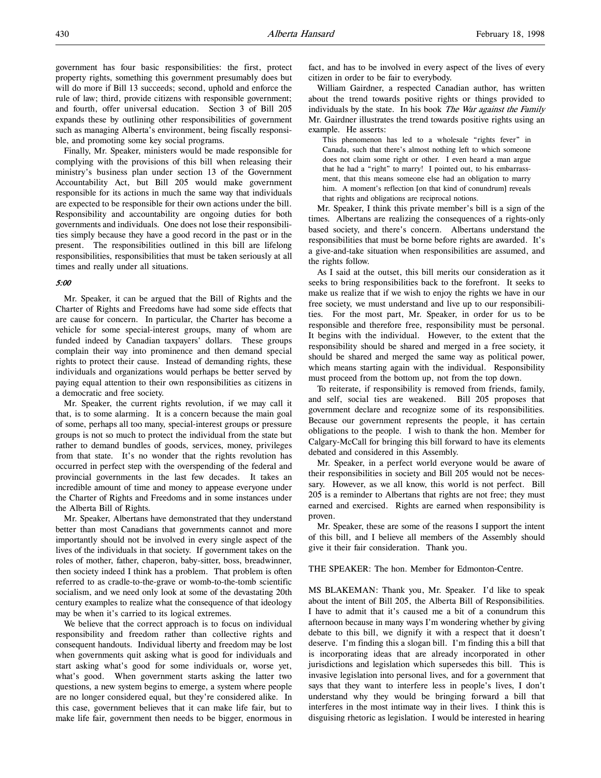Finally, Mr. Speaker, ministers would be made responsible for complying with the provisions of this bill when releasing their ministry's business plan under section 13 of the Government Accountability Act, but Bill 205 would make government responsible for its actions in much the same way that individuals are expected to be responsible for their own actions under the bill. Responsibility and accountability are ongoing duties for both governments and individuals. One does not lose their responsibilities simply because they have a good record in the past or in the present. The responsibilities outlined in this bill are lifelong responsibilities, responsibilities that must be taken seriously at all times and really under all situations.

#### 5:00

Mr. Speaker, it can be argued that the Bill of Rights and the Charter of Rights and Freedoms have had some side effects that are cause for concern. In particular, the Charter has become a vehicle for some special-interest groups, many of whom are funded indeed by Canadian taxpayers' dollars. These groups complain their way into prominence and then demand special rights to protect their cause. Instead of demanding rights, these individuals and organizations would perhaps be better served by paying equal attention to their own responsibilities as citizens in a democratic and free society.

Mr. Speaker, the current rights revolution, if we may call it that, is to some alarming. It is a concern because the main goal of some, perhaps all too many, special-interest groups or pressure groups is not so much to protect the individual from the state but rather to demand bundles of goods, services, money, privileges from that state. It's no wonder that the rights revolution has occurred in perfect step with the overspending of the federal and provincial governments in the last few decades. It takes an incredible amount of time and money to appease everyone under the Charter of Rights and Freedoms and in some instances under the Alberta Bill of Rights.

Mr. Speaker, Albertans have demonstrated that they understand better than most Canadians that governments cannot and more importantly should not be involved in every single aspect of the lives of the individuals in that society. If government takes on the roles of mother, father, chaperon, baby-sitter, boss, breadwinner, then society indeed I think has a problem. That problem is often referred to as cradle-to-the-grave or womb-to-the-tomb scientific socialism, and we need only look at some of the devastating 20th century examples to realize what the consequence of that ideology may be when it's carried to its logical extremes.

We believe that the correct approach is to focus on individual responsibility and freedom rather than collective rights and consequent handouts. Individual liberty and freedom may be lost when governments quit asking what is good for individuals and start asking what's good for some individuals or, worse yet, what's good. When government starts asking the latter two questions, a new system begins to emerge, a system where people are no longer considered equal, but they're considered alike. In this case, government believes that it can make life fair, but to make life fair, government then needs to be bigger, enormous in

fact, and has to be involved in every aspect of the lives of every citizen in order to be fair to everybody.

William Gairdner, a respected Canadian author, has written about the trend towards positive rights or things provided to individuals by the state. In his book The War against the Family Mr. Gairdner illustrates the trend towards positive rights using an example. He asserts:

This phenomenon has led to a wholesale "rights fever" in Canada, such that there's almost nothing left to which someone does not claim some right or other. I even heard a man argue that he had a "right" to marry! I pointed out, to his embarrassment, that this means someone else had an obligation to marry him. A moment's reflection [on that kind of conundrum] reveals that rights and obligations are reciprocal notions.

Mr. Speaker, I think this private member's bill is a sign of the times. Albertans are realizing the consequences of a rights-only based society, and there's concern. Albertans understand the responsibilities that must be borne before rights are awarded. It's a give-and-take situation when responsibilities are assumed, and the rights follow.

As I said at the outset, this bill merits our consideration as it seeks to bring responsibilities back to the forefront. It seeks to make us realize that if we wish to enjoy the rights we have in our free society, we must understand and live up to our responsibilities. For the most part, Mr. Speaker, in order for us to be responsible and therefore free, responsibility must be personal. It begins with the individual. However, to the extent that the responsibility should be shared and merged in a free society, it should be shared and merged the same way as political power, which means starting again with the individual. Responsibility must proceed from the bottom up, not from the top down.

To reiterate, if responsibility is removed from friends, family, and self, social ties are weakened. Bill 205 proposes that government declare and recognize some of its responsibilities. Because our government represents the people, it has certain obligations to the people. I wish to thank the hon. Member for Calgary-McCall for bringing this bill forward to have its elements debated and considered in this Assembly.

Mr. Speaker, in a perfect world everyone would be aware of their responsibilities in society and Bill 205 would not be necessary. However, as we all know, this world is not perfect. Bill 205 is a reminder to Albertans that rights are not free; they must earned and exercised. Rights are earned when responsibility is proven.

Mr. Speaker, these are some of the reasons I support the intent of this bill, and I believe all members of the Assembly should give it their fair consideration. Thank you.

THE SPEAKER: The hon. Member for Edmonton-Centre.

MS BLAKEMAN: Thank you, Mr. Speaker. I'd like to speak about the intent of Bill 205, the Alberta Bill of Responsibilities. I have to admit that it's caused me a bit of a conundrum this afternoon because in many ways I'm wondering whether by giving debate to this bill, we dignify it with a respect that it doesn't deserve. I'm finding this a slogan bill. I'm finding this a bill that is incorporating ideas that are already incorporated in other jurisdictions and legislation which supersedes this bill. This is invasive legislation into personal lives, and for a government that says that they want to interfere less in people's lives, I don't understand why they would be bringing forward a bill that interferes in the most intimate way in their lives. I think this is disguising rhetoric as legislation. I would be interested in hearing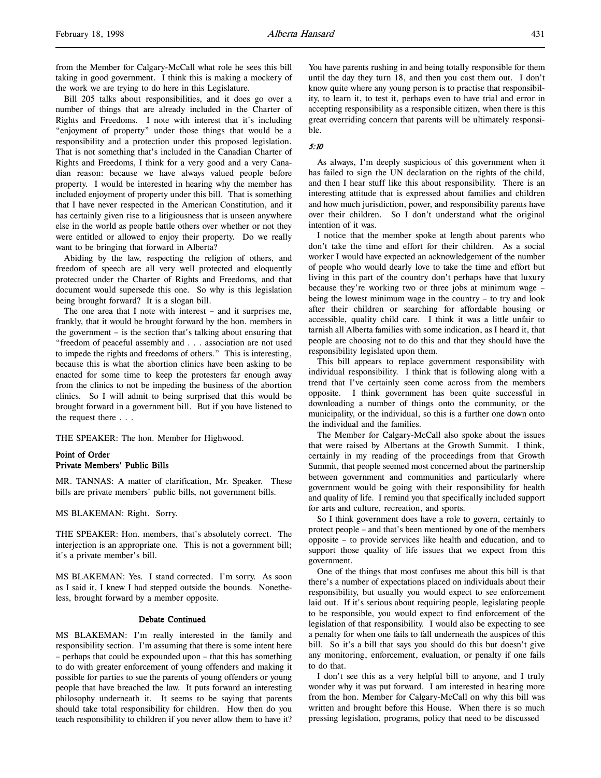Bill 205 talks about responsibilities, and it does go over a number of things that are already included in the Charter of Rights and Freedoms. I note with interest that it's including "enjoyment of property" under those things that would be a responsibility and a protection under this proposed legislation. That is not something that's included in the Canadian Charter of Rights and Freedoms, I think for a very good and a very Canadian reason: because we have always valued people before property. I would be interested in hearing why the member has included enjoyment of property under this bill. That is something that I have never respected in the American Constitution, and it has certainly given rise to a litigiousness that is unseen anywhere else in the world as people battle others over whether or not they were entitled or allowed to enjoy their property. Do we really want to be bringing that forward in Alberta?

Abiding by the law, respecting the religion of others, and freedom of speech are all very well protected and eloquently protected under the Charter of Rights and Freedoms, and that document would supersede this one. So why is this legislation being brought forward? It is a slogan bill.

The one area that I note with interest – and it surprises me, frankly, that it would be brought forward by the hon. members in the government – is the section that's talking about ensuring that "freedom of peaceful assembly and . . . association are not used to impede the rights and freedoms of others." This is interesting, because this is what the abortion clinics have been asking to be enacted for some time to keep the protesters far enough away from the clinics to not be impeding the business of the abortion clinics. So I will admit to being surprised that this would be brought forward in a government bill. But if you have listened to the request there . . .

THE SPEAKER: The hon. Member for Highwood.

# Point of Order Private Members' Public Bills

MR. TANNAS: A matter of clarification, Mr. Speaker. These bills are private members' public bills, not government bills.

MS BLAKEMAN: Right. Sorry.

THE SPEAKER: Hon. members, that's absolutely correct. The interjection is an appropriate one. This is not a government bill; it's a private member's bill.

MS BLAKEMAN: Yes. I stand corrected. I'm sorry. As soon as I said it, I knew I had stepped outside the bounds. Nonetheless, brought forward by a member opposite.

#### Debate Continued

MS BLAKEMAN: I'm really interested in the family and responsibility section. I'm assuming that there is some intent here – perhaps that could be expounded upon – that this has something to do with greater enforcement of young offenders and making it possible for parties to sue the parents of young offenders or young people that have breached the law. It puts forward an interesting philosophy underneath it. It seems to be saying that parents should take total responsibility for children. How then do you teach responsibility to children if you never allow them to have it?

You have parents rushing in and being totally responsible for them until the day they turn 18, and then you cast them out. I don't know quite where any young person is to practise that responsibility, to learn it, to test it, perhaps even to have trial and error in accepting responsibility as a responsible citizen, when there is this great overriding concern that parents will be ultimately responsible.

# 5:10

As always, I'm deeply suspicious of this government when it has failed to sign the UN declaration on the rights of the child, and then I hear stuff like this about responsibility. There is an interesting attitude that is expressed about families and children and how much jurisdiction, power, and responsibility parents have over their children. So I don't understand what the original intention of it was.

I notice that the member spoke at length about parents who don't take the time and effort for their children. As a social worker I would have expected an acknowledgement of the number of people who would dearly love to take the time and effort but living in this part of the country don't perhaps have that luxury because they're working two or three jobs at minimum wage – being the lowest minimum wage in the country – to try and look after their children or searching for affordable housing or accessible, quality child care. I think it was a little unfair to tarnish all Alberta families with some indication, as I heard it, that people are choosing not to do this and that they should have the responsibility legislated upon them.

This bill appears to replace government responsibility with individual responsibility. I think that is following along with a trend that I've certainly seen come across from the members opposite. I think government has been quite successful in downloading a number of things onto the community, or the municipality, or the individual, so this is a further one down onto the individual and the families.

The Member for Calgary-McCall also spoke about the issues that were raised by Albertans at the Growth Summit. I think, certainly in my reading of the proceedings from that Growth Summit, that people seemed most concerned about the partnership between government and communities and particularly where government would be going with their responsibility for health and quality of life. I remind you that specifically included support for arts and culture, recreation, and sports.

So I think government does have a role to govern, certainly to protect people – and that's been mentioned by one of the members opposite – to provide services like health and education, and to support those quality of life issues that we expect from this government.

One of the things that most confuses me about this bill is that there's a number of expectations placed on individuals about their responsibility, but usually you would expect to see enforcement laid out. If it's serious about requiring people, legislating people to be responsible, you would expect to find enforcement of the legislation of that responsibility. I would also be expecting to see a penalty for when one fails to fall underneath the auspices of this bill. So it's a bill that says you should do this but doesn't give any monitoring, enforcement, evaluation, or penalty if one fails to do that.

I don't see this as a very helpful bill to anyone, and I truly wonder why it was put forward. I am interested in hearing more from the hon. Member for Calgary-McCall on why this bill was written and brought before this House. When there is so much pressing legislation, programs, policy that need to be discussed